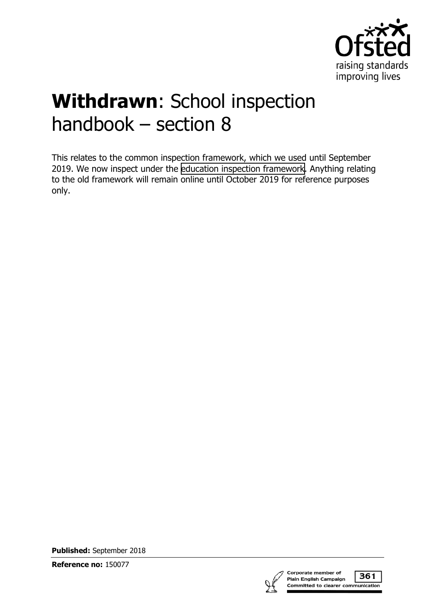

# **Withdrawn**: School inspection handbook – section 8

This relates to the common inspection framework, which we used until September 2019. We now inspect under the [education inspection framework.](https://www.gov.uk/government/collections/education-inspection-framework) Anything relating to the old framework will remain online until October 2019 for reference purposes only.

**Published:** September 2018

**Reference no:** 150077



361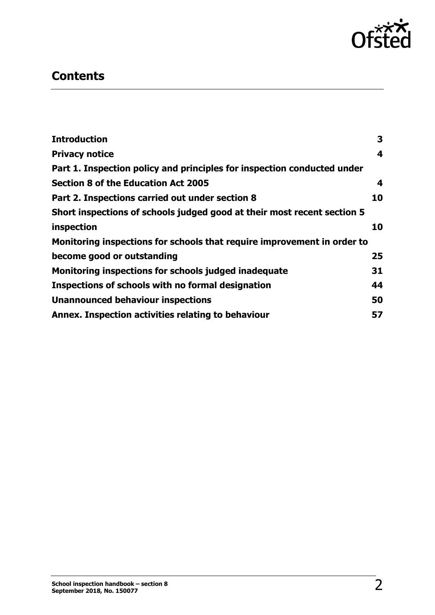

# **Contents**

| <b>Introduction</b>                                                     | 3                       |
|-------------------------------------------------------------------------|-------------------------|
| <b>Privacy notice</b>                                                   | 4                       |
| Part 1. Inspection policy and principles for inspection conducted under |                         |
| Section 8 of the Education Act 2005                                     | $\overline{\mathbf{4}}$ |
| Part 2. Inspections carried out under section 8                         | 10                      |
| Short inspections of schools judged good at their most recent section 5 |                         |
| inspection                                                              | 10                      |
| Monitoring inspections for schools that require improvement in order to |                         |
| become good or outstanding                                              | 25                      |
| Monitoring inspections for schools judged inadequate                    | 31                      |
| Inspections of schools with no formal designation                       | 44                      |
| <b>Unannounced behaviour inspections</b>                                | 50                      |
| Annex. Inspection activities relating to behaviour                      | 57                      |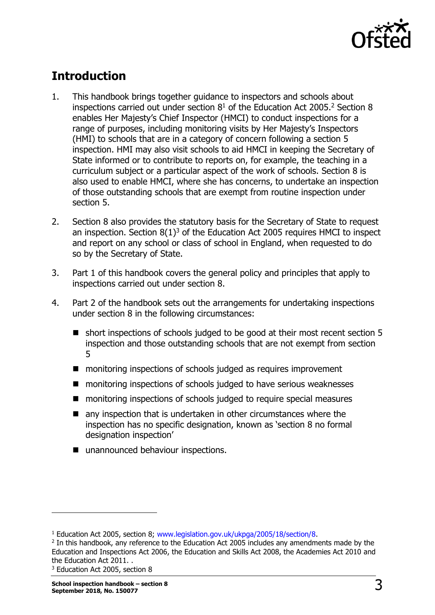

# <span id="page-2-0"></span>**Introduction**

- 1. This handbook brings together guidance to inspectors and schools about inspections carried out under section  $8<sup>1</sup>$  of the Education Act 2005.<sup>2</sup> Section 8 enables Her Majesty's Chief Inspector (HMCI) to conduct inspections for a range of purposes, including monitoring visits by Her Majesty's Inspectors (HMI) to schools that are in a category of concern following a section 5 inspection. HMI may also visit schools to aid HMCI in keeping the Secretary of State informed or to contribute to reports on, for example, the teaching in a curriculum subject or a particular aspect of the work of schools. Section 8 is also used to enable HMCI, where she has concerns, to undertake an inspection of those outstanding schools that are exempt from routine inspection under section 5.
- 2. Section 8 also provides the statutory basis for the Secretary of State to request an inspection. Section  $8(1)^3$  of the Education Act 2005 requires HMCI to inspect and report on any school or class of school in England, when requested to do so by the Secretary of State.
- 3. Part 1 of this handbook covers the general policy and principles that apply to inspections carried out under section 8.
- 4. Part 2 of the handbook sets out the arrangements for undertaking inspections under section 8 in the following circumstances:
	- short inspections of schools judged to be good at their most recent section 5 inspection and those outstanding schools that are not exempt from section 5
	- monitoring inspections of schools judged as requires improvement
	- monitoring inspections of schools judged to have serious weaknesses
	- monitoring inspections of schools judged to require special measures
	- any inspection that is undertaken in other circumstances where the inspection has no specific designation, known as 'section 8 no formal designation inspection'
	- unannounced behaviour inspections.

<sup>&</sup>lt;sup>1</sup> Education Act 2005, section 8; [www.legislation.gov.uk/ukpga/2005/18/section/8.](http://www.legislation.gov.uk/ukpga/2005/18/section/8)

<sup>&</sup>lt;sup>2</sup> In this handbook, any reference to the Education Act 2005 includes any amendments made by the Education and Inspections Act 2006, the Education and Skills Act 2008, the Academies Act 2010 and the Education Act 2011. .

<sup>3</sup> Education Act 2005, section 8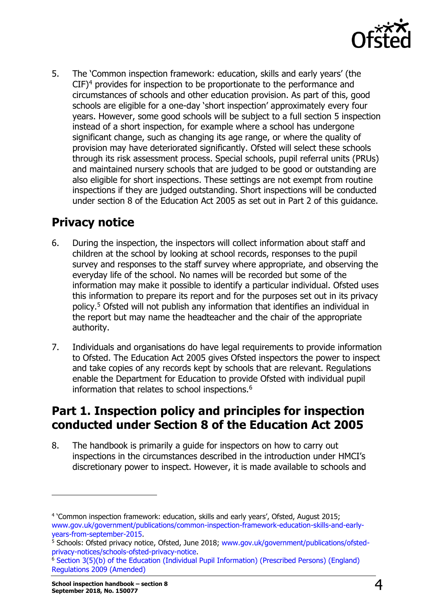

5. The 'Common inspection framework: education, skills and early years' (the  $CIF)^4$  provides for inspection to be proportionate to the performance and circumstances of schools and other education provision. As part of this, good schools are eligible for a one-day 'short inspection' approximately every four years. However, some good schools will be subject to a full section 5 inspection instead of a short inspection, for example where a school has undergone significant change, such as changing its age range, or where the quality of provision may have deteriorated significantly. Ofsted will select these schools through its risk assessment process. Special schools, pupil referral units (PRUs) and maintained nursery schools that are judged to be good or outstanding are also eligible for short inspections. These settings are not exempt from routine inspections if they are judged outstanding. Short inspections will be conducted under section 8 of the Education Act 2005 as set out in Part 2 of this guidance.

# <span id="page-3-0"></span>**Privacy notice**

- 6. During the inspection, the inspectors will collect information about staff and children at the school by looking at school records, responses to the pupil survey and responses to the staff survey where appropriate, and observing the everyday life of the school. No names will be recorded but some of the information may make it possible to identify a particular individual. Ofsted uses this information to prepare its report and for the purposes set out in its privacy policy.<sup>5</sup> Ofsted will not publish any information that identifies an individual in the report but may name the headteacher and the chair of the appropriate authority.
- 7. Individuals and organisations do have legal requirements to provide information to Ofsted. The Education Act 2005 gives Ofsted inspectors the power to inspect and take copies of any records kept by schools that are relevant. Regulations enable the Department for Education to provide Ofsted with individual pupil information that relates to school inspections.<sup>6</sup>

# <span id="page-3-1"></span>**Part 1. Inspection policy and principles for inspection conducted under Section 8 of the Education Act 2005**

8. The handbook is primarily a guide for inspectors on how to carry out inspections in the circumstances described in the introduction under HMCI's discretionary power to inspect. However, it is made available to schools and

<sup>4</sup> 'Common inspection framework: education, skills and early years', Ofsted, August 2015; [www.gov.uk/government/publications/common-inspection-framework-education-skills-and-early](http://www.gov.uk/government/publications/common-inspection-framework-education-skills-and-early-years-from-september-2015)[years-from-september-2015.](http://www.gov.uk/government/publications/common-inspection-framework-education-skills-and-early-years-from-september-2015)

<sup>&</sup>lt;sup>5</sup> Schools: Ofsted privacy notice, Ofsted, June 2018; [www.gov.uk/government/publications/ofsted](http://www.gov.uk/government/publications/ofsted-privacy-notices/schools-ofsted-privacy-notice)[privacy-notices/schools-ofsted-privacy-notice.](http://www.gov.uk/government/publications/ofsted-privacy-notices/schools-ofsted-privacy-notice)

<sup>6</sup> [Section 3\(5\)\(b\) of the Education \(Individual Pupil Information\) \(Prescribed Persons\) \(England\)](http://www.legislation.gov.uk/uksi/2009/1563/made)  [Regulations 2009 \(Amended\)](http://www.legislation.gov.uk/uksi/2009/1563/made)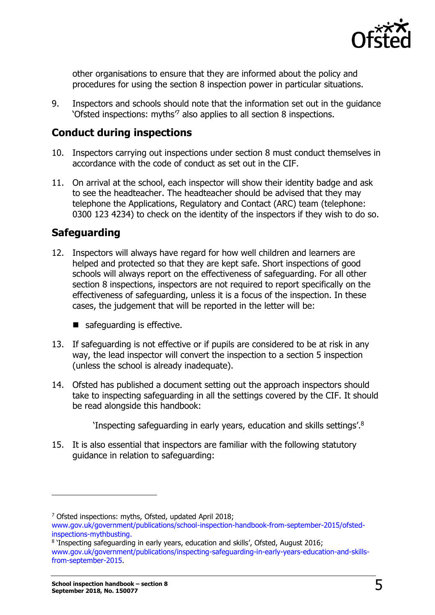

other organisations to ensure that they are informed about the policy and procedures for using the section 8 inspection power in particular situations.

9. Inspectors and schools should note that the information set out in the guidance 'Ofsted inspections: myths<sup>7</sup> also applies to all section 8 inspections.

### **Conduct during inspections**

- 10. Inspectors carrying out inspections under section 8 must conduct themselves in accordance with the code of conduct as set out in the CIF.
- 11. On arrival at the school, each inspector will show their identity badge and ask to see the headteacher. The headteacher should be advised that they may telephone the Applications, Regulatory and Contact (ARC) team (telephone: 0300 123 4234) to check on the identity of the inspectors if they wish to do so.

## **Safeguarding**

- 12. Inspectors will always have regard for how well children and learners are helped and protected so that they are kept safe. Short inspections of good schools will always report on the effectiveness of safeguarding. For all other section 8 inspections, inspectors are not required to report specifically on the effectiveness of safeguarding, unless it is a focus of the inspection. In these cases, the judgement that will be reported in the letter will be:
	- safeguarding is effective.
- 13. If safeguarding is not effective or if pupils are considered to be at risk in any way, the lead inspector will convert the inspection to a section 5 inspection (unless the school is already inadequate).
- 14. Ofsted has published a document setting out the approach inspectors should take to inspecting safeguarding in all the settings covered by the CIF. It should be read alongside this handbook:

'Inspecting safeguarding in early years, education and skills settings'. $^8$ 

15. It is also essential that inspectors are familiar with the following statutory guidance in relation to safeguarding:

<sup>7</sup> Ofsted inspections: myths, Ofsted, updated April 2018; [www.gov.uk/government/publications/school-inspection-handbook-from-september-2015/ofsted](https://www.gov.uk/government/publications/school-inspection-handbook-from-september-2015/ofsted-inspections-mythbusting)[inspections-mythbusting.](https://www.gov.uk/government/publications/school-inspection-handbook-from-september-2015/ofsted-inspections-mythbusting)

<sup>8</sup> 'Inspecting safeguarding in early years, education and skills', Ofsted, August 2016; [www.gov.uk/government/publications/inspecting-safeguarding-in-early-years-education-and-skills](http://www.gov.uk/government/publications/inspecting-safeguarding-in-early-years-education-and-skills-from-september-2015)[from-september-2015.](http://www.gov.uk/government/publications/inspecting-safeguarding-in-early-years-education-and-skills-from-september-2015)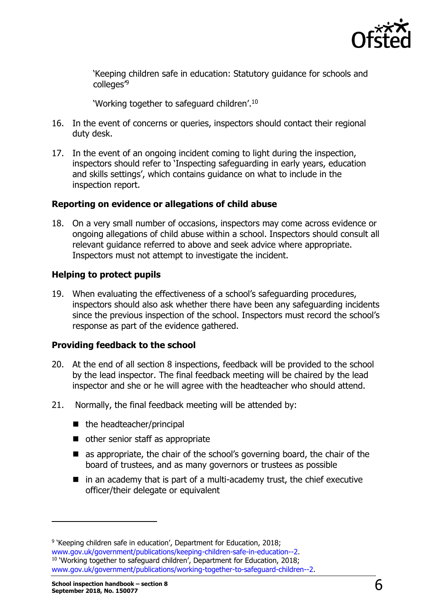

'Keeping children safe in education: Statutory guidance for schools and colleges<sup>'9</sup>

'Working together to safeguard children'.<sup>10</sup>

- 16. In the event of concerns or queries, inspectors should contact their regional duty desk.
- 17. In the event of an ongoing incident coming to light during the inspection, inspectors should refer to 'Inspecting safeguarding in early years, education and skills settings', which contains guidance on what to include in the inspection report.

#### **Reporting on evidence or allegations of child abuse**

18. On a very small number of occasions, inspectors may come across evidence or ongoing allegations of child abuse within a school. Inspectors should consult all relevant guidance referred to above and seek advice where appropriate. Inspectors must not attempt to investigate the incident.

#### **Helping to protect pupils**

19. When evaluating the effectiveness of a school's safeguarding procedures, inspectors should also ask whether there have been any safeguarding incidents since the previous inspection of the school. Inspectors must record the school's response as part of the evidence gathered.

#### **Providing feedback to the school**

- 20. At the end of all section 8 inspections, feedback will be provided to the school by the lead inspector. The final feedback meeting will be chaired by the lead inspector and she or he will agree with the headteacher who should attend.
- 21. Normally, the final feedback meeting will be attended by:
	- $\blacksquare$  the headteacher/principal
	- other senior staff as appropriate
	- **E** as appropriate, the chair of the school's governing board, the chair of the board of trustees, and as many governors or trustees as possible
	- $\blacksquare$  in an academy that is part of a multi-academy trust, the chief executive officer/their delegate or equivalent

<sup>&</sup>lt;sup>9</sup> 'Keeping children safe in education', Department for Education, 2018; [www.gov.uk/government/publications/keeping-children-safe-in-education--2.](http://www.gov.uk/government/publications/keeping-children-safe-in-education--2) <sup>10</sup> 'Working together to safeguard children', Department for Education, 2018; [www.gov.uk/government/publications/working-together-to-safeguard-children--2.](http://www.gov.uk/government/publications/working-together-to-safeguard-children--2)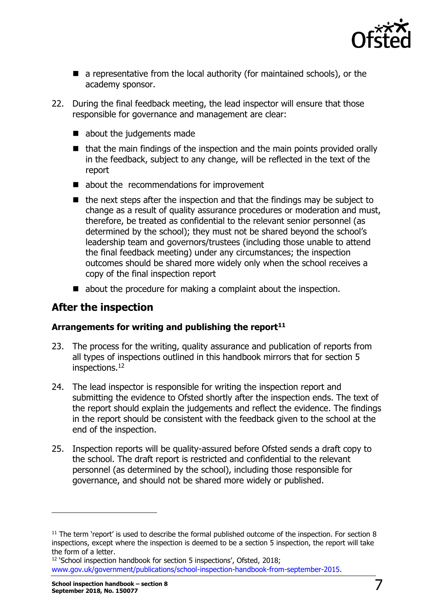

- a representative from the local authority (for maintained schools), or the academy sponsor.
- 22. During the final feedback meeting, the lead inspector will ensure that those responsible for governance and management are clear:
	- about the judgements made
	- $\blacksquare$  that the main findings of the inspection and the main points provided orally in the feedback, subject to any change, will be reflected in the text of the report
	- about the recommendations for improvement
	- $\blacksquare$  the next steps after the inspection and that the findings may be subject to change as a result of quality assurance procedures or moderation and must, therefore, be treated as confidential to the relevant senior personnel (as determined by the school); they must not be shared beyond the school's leadership team and governors/trustees (including those unable to attend the final feedback meeting) under any circumstances; the inspection outcomes should be shared more widely only when the school receives a copy of the final inspection report
	- about the procedure for making a complaint about the inspection.

# **After the inspection**

#### **Arrangements for writing and publishing the report<sup>11</sup>**

- 23. The process for the writing, quality assurance and publication of reports from all types of inspections outlined in this handbook mirrors that for section 5 inspections.<sup>12</sup>
- 24. The lead inspector is responsible for writing the inspection report and submitting the evidence to Ofsted shortly after the inspection ends. The text of the report should explain the judgements and reflect the evidence. The findings in the report should be consistent with the feedback given to the school at the end of the inspection.
- 25. Inspection reports will be quality-assured before Ofsted sends a draft copy to the school. The draft report is restricted and confidential to the relevant personnel (as determined by the school), including those responsible for governance, and should not be shared more widely or published.

 $11$  The term 'report' is used to describe the formal published outcome of the inspection. For section 8 inspections, except where the inspection is deemed to be a section 5 inspection, the report will take the form of a letter.

<sup>&</sup>lt;sup>12</sup> 'School inspection handbook for section 5 inspections', Ofsted, 2018; [www.gov.uk/government/publications/school-inspection-handbook-from-september-2015.](http://www.gov.uk/government/publications/school-inspection-handbook-from-september-2015)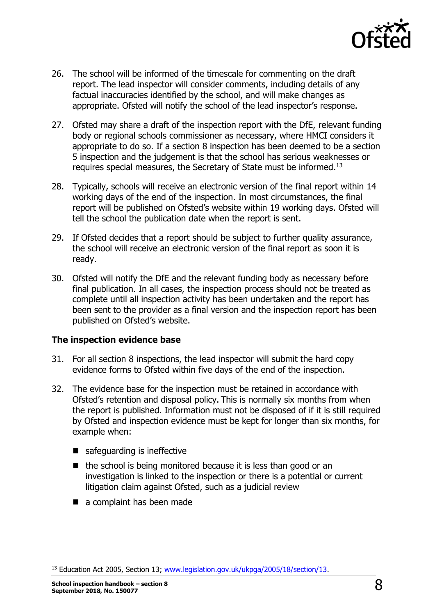

- 26. The school will be informed of the timescale for commenting on the draft report. The lead inspector will consider comments, including details of any factual inaccuracies identified by the school, and will make changes as appropriate. Ofsted will notify the school of the lead inspector's response.
- 27. Ofsted may share a draft of the inspection report with the DfE, relevant funding body or regional schools commissioner as necessary, where HMCI considers it appropriate to do so. If a section 8 inspection has been deemed to be a section 5 inspection and the judgement is that the school has serious weaknesses or requires special measures, the Secretary of State must be informed.<sup>13</sup>
- 28. Typically, schools will receive an electronic version of the final report within 14 working days of the end of the inspection. In most circumstances, the final report will be published on Ofsted's website within 19 working days. Ofsted will tell the school the publication date when the report is sent.
- 29. If Ofsted decides that a report should be subject to further quality assurance, the school will receive an electronic version of the final report as soon it is ready.
- 30. Ofsted will notify the DfE and the relevant funding body as necessary before final publication. In all cases, the inspection process should not be treated as complete until all inspection activity has been undertaken and the report has been sent to the provider as a final version and the inspection report has been published on Ofsted's website.

#### **The inspection evidence base**

- 31. For all section 8 inspections, the lead inspector will submit the hard copy evidence forms to Ofsted within five days of the end of the inspection.
- 32. The evidence base for the inspection must be retained in accordance with Ofsted's retention and disposal policy. This is normally six months from when the report is published. Information must not be disposed of if it is still required by Ofsted and inspection evidence must be kept for longer than six months, for example when:
	- safeguarding is ineffective
	- $\blacksquare$  the school is being monitored because it is less than good or an investigation is linked to the inspection or there is a potential or current litigation claim against Ofsted, such as a judicial review
	- a complaint has been made

<sup>&</sup>lt;sup>13</sup> Education Act 2005, Section 13; [www.legislation.gov.uk/ukpga/2005/18/section/13.](http://www.legislation.gov.uk/ukpga/2005/18/section/13)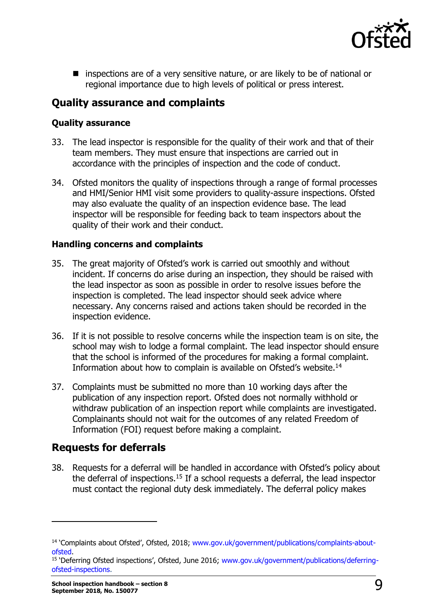

**E** inspections are of a very sensitive nature, or are likely to be of national or regional importance due to high levels of political or press interest.

### **Quality assurance and complaints**

#### **Quality assurance**

- 33. The lead inspector is responsible for the quality of their work and that of their team members. They must ensure that inspections are carried out in accordance with the principles of inspection and the code of conduct.
- 34. Ofsted monitors the quality of inspections through a range of formal processes and HMI/Senior HMI visit some providers to quality-assure inspections. Ofsted may also evaluate the quality of an inspection evidence base. The lead inspector will be responsible for feeding back to team inspectors about the quality of their work and their conduct.

#### **Handling concerns and complaints**

- 35. The great majority of Ofsted's work is carried out smoothly and without incident. If concerns do arise during an inspection, they should be raised with the lead inspector as soon as possible in order to resolve issues before the inspection is completed. The lead inspector should seek advice where necessary. Any concerns raised and actions taken should be recorded in the inspection evidence.
- 36. If it is not possible to resolve concerns while the inspection team is on site, the school may wish to lodge a formal complaint. The lead inspector should ensure that the school is informed of the procedures for making a formal complaint. Information about how to complain is available on Ofsted's website.<sup>14</sup>
- 37. Complaints must be submitted no more than 10 working days after the publication of any inspection report. Ofsted does not normally withhold or withdraw publication of an inspection report while complaints are investigated. Complainants should not wait for the outcomes of any related Freedom of Information (FOI) request before making a complaint.

### **Requests for deferrals**

38. Requests for a deferral will be handled in accordance with Ofsted's policy about the deferral of inspections.<sup>15</sup> If a school requests a deferral, the lead inspector must contact the regional duty desk immediately. The deferral policy makes

<sup>&</sup>lt;sup>14</sup> 'Complaints about Ofsted', Ofsted, 2018; [www.gov.uk/government/publications/complaints-about](http://www.gov.uk/government/publications/complaints-about-ofsted)[ofsted.](http://www.gov.uk/government/publications/complaints-about-ofsted)

<sup>&</sup>lt;sup>15</sup> 'Deferring Ofsted inspections', Ofsted, June 2016; [www.gov.uk/government/publications/deferring](http://www.gov.uk/government/publications/deferring-ofsted-inspections)[ofsted-inspections.](http://www.gov.uk/government/publications/deferring-ofsted-inspections)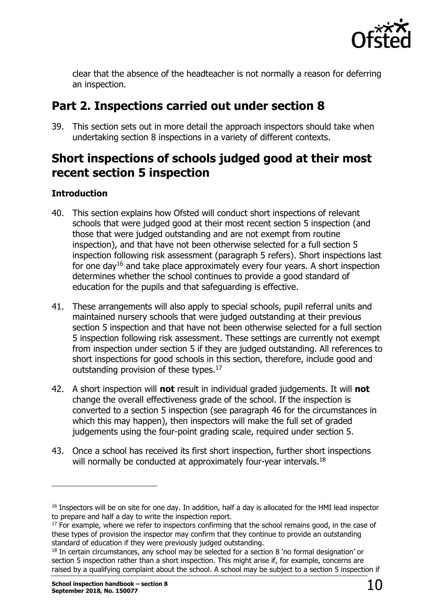

clear that the absence of the headteacher is not normally a reason for deferring an inspection.

# <span id="page-9-0"></span>**Part 2. Inspections carried out under section 8**

39. This section sets out in more detail the approach inspectors should take when undertaking section 8 inspections in a variety of different contexts.

# <span id="page-9-1"></span>**Short inspections of schools judged good at their most recent section 5 inspection**

#### **Introduction**

- 40. This section explains how Ofsted will conduct short inspections of relevant schools that were judged good at their most recent section 5 inspection (and those that were judged outstanding and are not exempt from routine inspection), and that have not been otherwise selected for a full section 5 inspection following risk assessment (paragraph 5 refers). Short inspections last for one day<sup>16</sup> and take place approximately every four years. A short inspection determines whether the school continues to provide a good standard of education for the pupils and that safeguarding is effective.
- 41. These arrangements will also apply to special schools, pupil referral units and maintained nursery schools that were judged outstanding at their previous section 5 inspection and that have not been otherwise selected for a full section 5 inspection following risk assessment. These settings are currently not exempt from inspection under section 5 if they are judged outstanding. All references to short inspections for good schools in this section, therefore, include good and outstanding provision of these types.<sup>17</sup>
- 42. A short inspection will **not** result in individual graded judgements. It will **not** change the overall effectiveness grade of the school. If the inspection is converted to a section 5 inspection (see paragraph 46 for the circumstances in which this may happen), then inspectors will make the full set of graded judgements using the four-point grading scale, required under section 5.
- 43. Once a school has received its first short inspection, further short inspections will normally be conducted at approximately four-year intervals.<sup>18</sup>

<sup>&</sup>lt;sup>16</sup> Inspectors will be on site for one day. In addition, half a day is allocated for the HMI lead inspector to prepare and half a day to write the inspection report.

 $17$  For example, where we refer to inspectors confirming that the school remains good, in the case of these types of provision the inspector may confirm that they continue to provide an outstanding standard of education if they were previously judged outstanding.

<sup>&</sup>lt;sup>18</sup> In certain circumstances, any school may be selected for a section 8 'no formal designation' or section 5 inspection rather than a short inspection. This might arise if, for example, concerns are raised by a qualifying complaint about the school. A school may be subject to a section 5 inspection if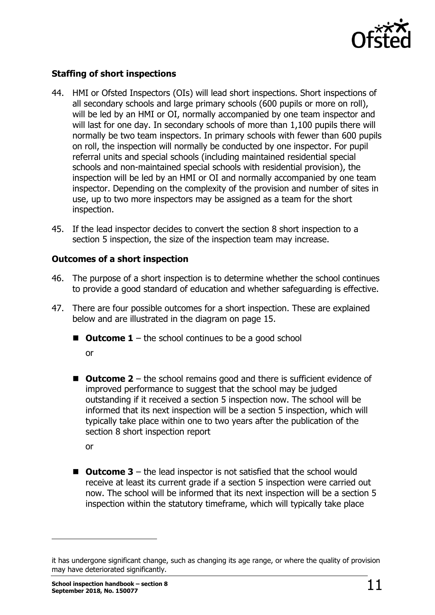

#### **Staffing of short inspections**

- 44. HMI or Ofsted Inspectors (OIs) will lead short inspections. Short inspections of all secondary schools and large primary schools (600 pupils or more on roll), will be led by an HMI or OI, normally accompanied by one team inspector and will last for one day. In secondary schools of more than 1,100 pupils there will normally be two team inspectors. In primary schools with fewer than 600 pupils on roll, the inspection will normally be conducted by one inspector. For pupil referral units and special schools (including maintained residential special schools and non-maintained special schools with residential provision), the inspection will be led by an HMI or OI and normally accompanied by one team inspector. Depending on the complexity of the provision and number of sites in use, up to two more inspectors may be assigned as a team for the short inspection.
- 45. If the lead inspector decides to convert the section 8 short inspection to a section 5 inspection, the size of the inspection team may increase.

#### **Outcomes of a short inspection**

- 46. The purpose of a short inspection is to determine whether the school continues to provide a good standard of education and whether safeguarding is effective.
- 47. There are four possible outcomes for a short inspection. These are explained below and are illustrated in the diagram on page 15.
	- $\blacksquare$  **Outcome 1** the school continues to be a good school

or

■ Outcome 2 – the school remains good and there is sufficient evidence of improved performance to suggest that the school may be judged outstanding if it received a section 5 inspection now. The school will be informed that its next inspection will be a section 5 inspection, which will typically take place within one to two years after the publication of the section 8 short inspection report

or

ł

■ Outcome 3 – the lead inspector is not satisfied that the school would receive at least its current grade if a section 5 inspection were carried out now. The school will be informed that its next inspection will be a section 5 inspection within the statutory timeframe, which will typically take place

it has undergone significant change, such as changing its age range, or where the quality of provision may have deteriorated significantly.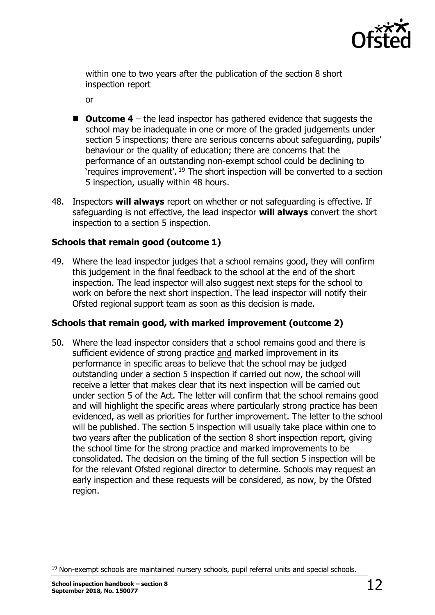

within one to two years after the publication of the section 8 short inspection report

or

- Outcome 4 the lead inspector has gathered evidence that suggests the school may be inadequate in one or more of the graded judgements under section 5 inspections; there are serious concerns about safeguarding, pupils' behaviour or the quality of education; there are concerns that the performance of an outstanding non-exempt school could be declining to 'requires improvement'. <sup>19</sup> The short inspection will be converted to a section 5 inspection, usually within 48 hours.
- 48. Inspectors **will always** report on whether or not safeguarding is effective. If safeguarding is not effective, the lead inspector **will always** convert the short inspection to a section 5 inspection.

#### **Schools that remain good (outcome 1)**

49. Where the lead inspector judges that a school remains good, they will confirm this judgement in the final feedback to the school at the end of the short inspection. The lead inspector will also suggest next steps for the school to work on before the next short inspection. The lead inspector will notify their Ofsted regional support team as soon as this decision is made.

#### **Schools that remain good, with marked improvement (outcome 2)**

50. Where the lead inspector considers that a school remains good and there is sufficient evidence of strong practice and marked improvement in its performance in specific areas to believe that the school may be judged outstanding under a section 5 inspection if carried out now, the school will receive a letter that makes clear that its next inspection will be carried out under section 5 of the Act. The letter will confirm that the school remains good and will highlight the specific areas where particularly strong practice has been evidenced, as well as priorities for further improvement. The letter to the school will be published. The section 5 inspection will usually take place within one to two years after the publication of the section 8 short inspection report, giving the school time for the strong practice and marked improvements to be consolidated. The decision on the timing of the full section 5 inspection will be for the relevant Ofsted regional director to determine. Schools may request an early inspection and these requests will be considered, as now, by the Ofsted region.

 $<sup>19</sup>$  Non-exempt schools are maintained nursery schools, pupil referral units and special schools.</sup>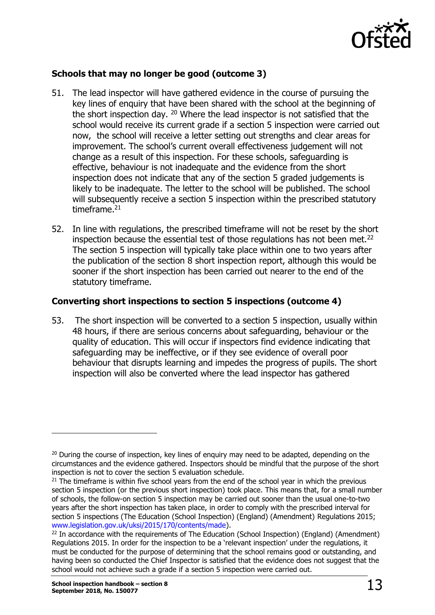

#### **Schools that may no longer be good (outcome 3)**

- 51. The lead inspector will have gathered evidence in the course of pursuing the key lines of enquiry that have been shared with the school at the beginning of the short inspection day. <sup>20</sup> Where the lead inspector is not satisfied that the school would receive its current grade if a section 5 inspection were carried out now, the school will receive a letter setting out strengths and clear areas for improvement. The school's current overall effectiveness judgement will not change as a result of this inspection. For these schools, safeguarding is effective, behaviour is not inadequate and the evidence from the short inspection does not indicate that any of the section 5 graded judgements is likely to be inadequate. The letter to the school will be published. The school will subsequently receive a section 5 inspection within the prescribed statutory timeframe. $21$
- 52. In line with regulations, the prescribed timeframe will not be reset by the short inspection because the essential test of those regulations has not been met.<sup>22</sup> The section 5 inspection will typically take place within one to two years after the publication of the section 8 short inspection report, although this would be sooner if the short inspection has been carried out nearer to the end of the statutory timeframe.

#### **Converting short inspections to section 5 inspections (outcome 4)**

53. The short inspection will be converted to a section 5 inspection, usually within 48 hours, if there are serious concerns about safeguarding, behaviour or the quality of education. This will occur if inspectors find evidence indicating that safeguarding may be ineffective, or if they see evidence of overall poor behaviour that disrupts learning and impedes the progress of pupils. The short inspection will also be converted where the lead inspector has gathered

 $20$  During the course of inspection, key lines of enguiry may need to be adapted, depending on the circumstances and the evidence gathered. Inspectors should be mindful that the purpose of the short inspection is not to cover the section 5 evaluation schedule.

 $21$  The timeframe is within five school years from the end of the school year in which the previous section 5 inspection (or the previous short inspection) took place. This means that, for a small number of schools, the follow-on section 5 inspection may be carried out sooner than the usual one-to-two years after the short inspection has taken place, in order to comply with the prescribed interval for section 5 inspections (The Education (School Inspection) (England) (Amendment) Regulations 2015; [www.legislation.gov.uk/uksi/2015/170/contents/made\)](http://www.legislation.gov.uk/uksi/2015/170/contents/made).

<sup>&</sup>lt;sup>22</sup> In accordance with the requirements of The Education (School Inspection) (England) (Amendment) Regulations 2015. In order for the inspection to be a 'relevant inspection' under the regulations, it must be conducted for the purpose of determining that the school remains good or outstanding, and having been so conducted the Chief Inspector is satisfied that the evidence does not suggest that the school would not achieve such a grade if a section 5 inspection were carried out.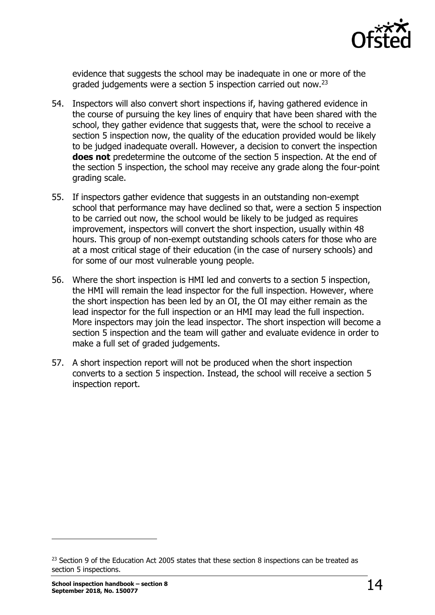

evidence that suggests the school may be inadequate in one or more of the graded judgements were a section 5 inspection carried out now.<sup>23</sup>

- 54. Inspectors will also convert short inspections if, having gathered evidence in the course of pursuing the key lines of enquiry that have been shared with the school, they gather evidence that suggests that, were the school to receive a section 5 inspection now, the quality of the education provided would be likely to be judged inadequate overall. However, a decision to convert the inspection **does not** predetermine the outcome of the section 5 inspection. At the end of the section 5 inspection, the school may receive any grade along the four-point grading scale.
- 55. If inspectors gather evidence that suggests in an outstanding non-exempt school that performance may have declined so that, were a section 5 inspection to be carried out now, the school would be likely to be judged as requires improvement, inspectors will convert the short inspection, usually within 48 hours. This group of non-exempt outstanding schools caters for those who are at a most critical stage of their education (in the case of nursery schools) and for some of our most vulnerable young people.
- 56. Where the short inspection is HMI led and converts to a section 5 inspection, the HMI will remain the lead inspector for the full inspection. However, where the short inspection has been led by an OI, the OI may either remain as the lead inspector for the full inspection or an HMI may lead the full inspection. More inspectors may join the lead inspector. The short inspection will become a section 5 inspection and the team will gather and evaluate evidence in order to make a full set of graded judgements.
- 57. A short inspection report will not be produced when the short inspection converts to a section 5 inspection. Instead, the school will receive a section 5 inspection report.

<sup>&</sup>lt;sup>23</sup> Section 9 of the Education Act 2005 states that these section 8 inspections can be treated as section 5 inspections.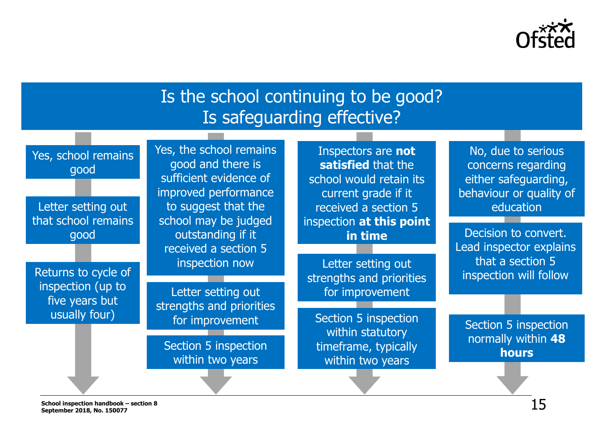

# Is the school continuing to be good? Is safeguarding effective?

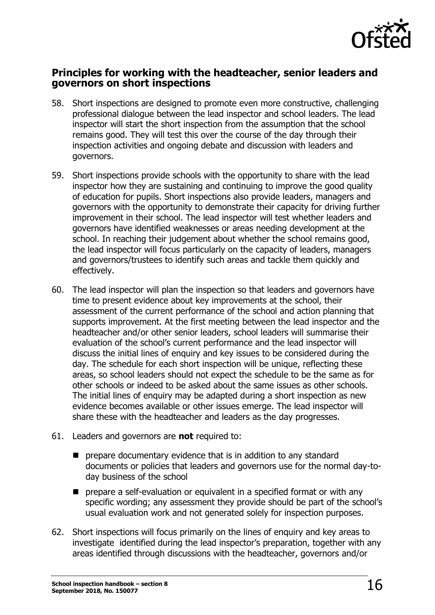

#### **Principles for working with the headteacher, senior leaders and governors on short inspections**

- 58. Short inspections are designed to promote even more constructive, challenging professional dialogue between the lead inspector and school leaders. The lead inspector will start the short inspection from the assumption that the school remains good. They will test this over the course of the day through their inspection activities and ongoing debate and discussion with leaders and governors.
- 59. Short inspections provide schools with the opportunity to share with the lead inspector how they are sustaining and continuing to improve the good quality of education for pupils. Short inspections also provide leaders, managers and governors with the opportunity to demonstrate their capacity for driving further improvement in their school. The lead inspector will test whether leaders and governors have identified weaknesses or areas needing development at the school. In reaching their judgement about whether the school remains good, the lead inspector will focus particularly on the capacity of leaders, managers and governors/trustees to identify such areas and tackle them quickly and effectively.
- 60. The lead inspector will plan the inspection so that leaders and governors have time to present evidence about key improvements at the school, their assessment of the current performance of the school and action planning that supports improvement. At the first meeting between the lead inspector and the headteacher and/or other senior leaders, school leaders will summarise their evaluation of the school's current performance and the lead inspector will discuss the initial lines of enquiry and key issues to be considered during the day. The schedule for each short inspection will be unique, reflecting these areas, so school leaders should not expect the schedule to be the same as for other schools or indeed to be asked about the same issues as other schools. The initial lines of enquiry may be adapted during a short inspection as new evidence becomes available or other issues emerge. The lead inspector will share these with the headteacher and leaders as the day progresses.
- 61. Leaders and governors are **not** required to:
	- **P** prepare documentary evidence that is in addition to any standard documents or policies that leaders and governors use for the normal day-today business of the school
	- **P** prepare a self-evaluation or equivalent in a specified format or with any specific wording; any assessment they provide should be part of the school's usual evaluation work and not generated solely for inspection purposes.
- 62. Short inspections will focus primarily on the lines of enquiry and key areas to investigate identified during the lead inspector's preparation, together with any areas identified through discussions with the headteacher, governors and/or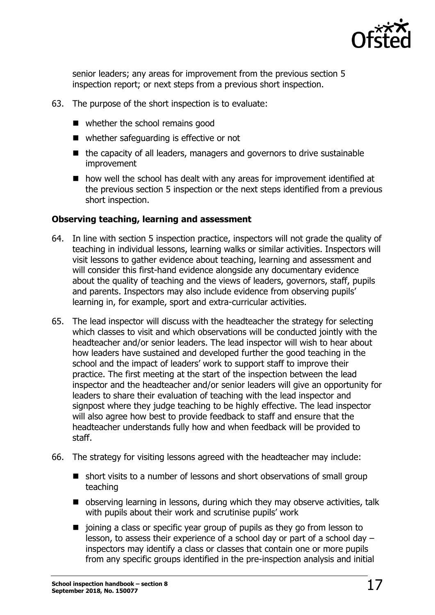

senior leaders; any areas for improvement from the previous section 5 inspection report; or next steps from a previous short inspection.

- 63. The purpose of the short inspection is to evaluate:
	- whether the school remains good
	- whether safeguarding is effective or not
	- $\blacksquare$  the capacity of all leaders, managers and governors to drive sustainable improvement
	- how well the school has dealt with any areas for improvement identified at the previous section 5 inspection or the next steps identified from a previous short inspection.

#### **Observing teaching, learning and assessment**

- 64. In line with section 5 inspection practice, inspectors will not grade the quality of teaching in individual lessons, learning walks or similar activities. Inspectors will visit lessons to gather evidence about teaching, learning and assessment and will consider this first-hand evidence alongside any documentary evidence about the quality of teaching and the views of leaders, governors, staff, pupils and parents. Inspectors may also include evidence from observing pupils' learning in, for example, sport and extra-curricular activities.
- 65. The lead inspector will discuss with the headteacher the strategy for selecting which classes to visit and which observations will be conducted jointly with the headteacher and/or senior leaders. The lead inspector will wish to hear about how leaders have sustained and developed further the good teaching in the school and the impact of leaders' work to support staff to improve their practice. The first meeting at the start of the inspection between the lead inspector and the headteacher and/or senior leaders will give an opportunity for leaders to share their evaluation of teaching with the lead inspector and signpost where they judge teaching to be highly effective. The lead inspector will also agree how best to provide feedback to staff and ensure that the headteacher understands fully how and when feedback will be provided to staff.
- 66. The strategy for visiting lessons agreed with the headteacher may include:
	- short visits to a number of lessons and short observations of small group teaching
	- observing learning in lessons, during which they may observe activities, talk with pupils about their work and scrutinise pupils' work
	- $\blacksquare$  joining a class or specific year group of pupils as they go from lesson to lesson, to assess their experience of a school day or part of a school day – inspectors may identify a class or classes that contain one or more pupils from any specific groups identified in the pre-inspection analysis and initial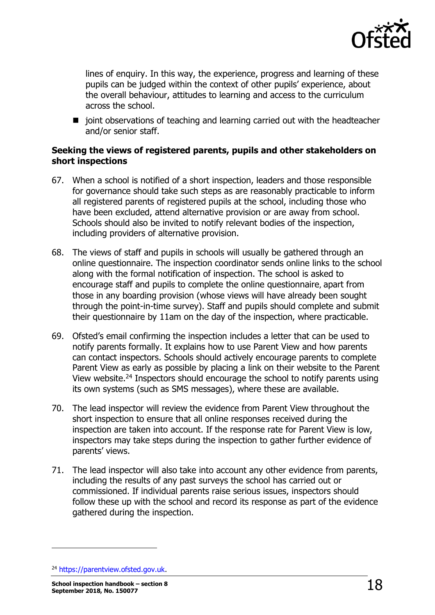

lines of enquiry. In this way, the experience, progress and learning of these pupils can be judged within the context of other pupils' experience, about the overall behaviour, attitudes to learning and access to the curriculum across the school.

 $\blacksquare$  joint observations of teaching and learning carried out with the headteacher and/or senior staff.

#### **Seeking the views of registered parents, pupils and other stakeholders on short inspections**

- 67. When a school is notified of a short inspection, leaders and those responsible for governance should take such steps as are reasonably practicable to inform all registered parents of registered pupils at the school, including those who have been excluded, attend alternative provision or are away from school. Schools should also be invited to notify relevant bodies of the inspection, including providers of alternative provision.
- 68. The views of staff and pupils in schools will usually be gathered through an online questionnaire. The inspection coordinator sends online links to the school along with the formal notification of inspection. The school is asked to encourage staff and pupils to complete the online questionnaire, apart from those in any boarding provision (whose views will have already been sought through the point-in-time survey). Staff and pupils should complete and submit their questionnaire by 11am on the day of the inspection, where practicable.
- 69. Ofsted's email confirming the inspection includes a letter that can be used to notify parents formally. It explains how to use Parent View and how parents can contact inspectors. Schools should actively encourage parents to complete Parent View as early as possible by placing a link on their website to the Parent View website.<sup>24</sup> Inspectors should encourage the school to notify parents using its own systems (such as SMS messages), where these are available.
- 70. The lead inspector will review the evidence from Parent View throughout the short inspection to ensure that all online responses received during the inspection are taken into account. If the response rate for Parent View is low, inspectors may take steps during the inspection to gather further evidence of parents' views.
- 71. The lead inspector will also take into account any other evidence from parents, including the results of any past surveys the school has carried out or commissioned. If individual parents raise serious issues, inspectors should follow these up with the school and record its response as part of the evidence gathered during the inspection.

<sup>24</sup> [https://parentview.ofsted.gov.uk.](https://parentview.ofsted.gov.uk/)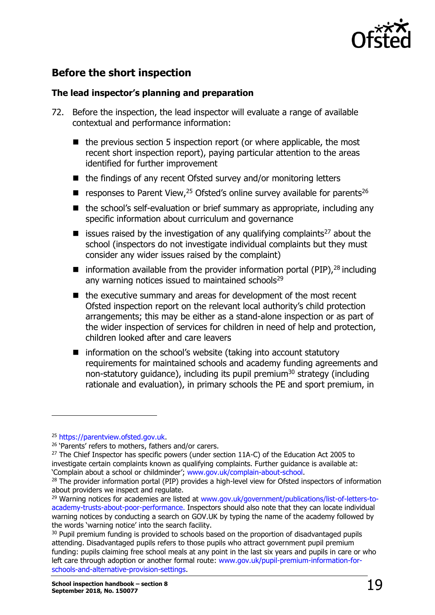

# **Before the short inspection**

#### **The lead inspector's planning and preparation**

- 72. Before the inspection, the lead inspector will evaluate a range of available contextual and performance information:
	- $\blacksquare$  the previous section 5 inspection report (or where applicable, the most recent short inspection report), paying particular attention to the areas identified for further improvement
	- $\blacksquare$  the findings of any recent Ofsted survey and/or monitoring letters
	- $\blacksquare$  responses to Parent View, <sup>25</sup> Ofsted's online survey available for parents<sup>26</sup>
	- the school's self-evaluation or brief summary as appropriate, including any specific information about curriculum and governance
	- $\blacksquare$  issues raised by the investigation of any qualifying complaints<sup>27</sup> about the school (inspectors do not investigate individual complaints but they must consider any wider issues raised by the complaint)
	- $\blacksquare$  information available from the provider information portal (PIP),  $^{28}$  including any warning notices issued to maintained schools<sup>29</sup>
	- $\blacksquare$  the executive summary and areas for development of the most recent Ofsted inspection report on the relevant local authority's child protection arrangements; this may be either as a stand-alone inspection or as part of the wider inspection of services for children in need of help and protection, children looked after and care leavers
	- $\blacksquare$  information on the school's website (taking into account statutory requirements for maintained schools and academy funding agreements and non-statutory quidance), including its pupil premium<sup>30</sup> strategy (including rationale and evaluation), in primary schools the PE and sport premium, in

<sup>25</sup> [https://parentview.ofsted.gov.uk.](https://parentview.ofsted.gov.uk/)

<sup>&</sup>lt;sup>26</sup> 'Parents' refers to mothers, fathers and/or carers.

 $27$  The Chief Inspector has specific powers (under section 11A-C) of the Education Act 2005 to investigate certain complaints known as qualifying complaints. Further guidance is available at: 'Complain about a school or childminder'; [www.gov.uk/complain-about-school.](http://www.gov.uk/complain-about-school)

<sup>&</sup>lt;sup>28</sup> The provider information portal (PIP) provides a high-level view for Ofsted inspectors of information about providers we inspect and regulate.

<sup>&</sup>lt;sup>29</sup> Warning notices for academies are listed at [www.gov.uk/government/publications/list-of-letters-to](http://www.gov.uk/government/publications/list-of-letters-to-academy-trusts-about-poor-performance)[academy-trusts-about-poor-performance.](http://www.gov.uk/government/publications/list-of-letters-to-academy-trusts-about-poor-performance) Inspectors should also note that they can locate individual warning notices by conducting a search on GOV.UK by typing the name of the academy followed by the words 'warning notice' into the search facility.

<sup>&</sup>lt;sup>30</sup> Pupil premium funding is provided to schools based on the proportion of disadvantaged pupils attending. Disadvantaged pupils refers to those pupils who attract government pupil premium funding: pupils claiming free school meals at any point in the last six years and pupils in care or who left care through adoption or another formal route: [www.gov.uk/pupil-premium-information-for](http://www.gov.uk/pupil-premium-information-for-schools-and-alternative-provision-settings)[schools-and-alternative-provision-settings.](http://www.gov.uk/pupil-premium-information-for-schools-and-alternative-provision-settings)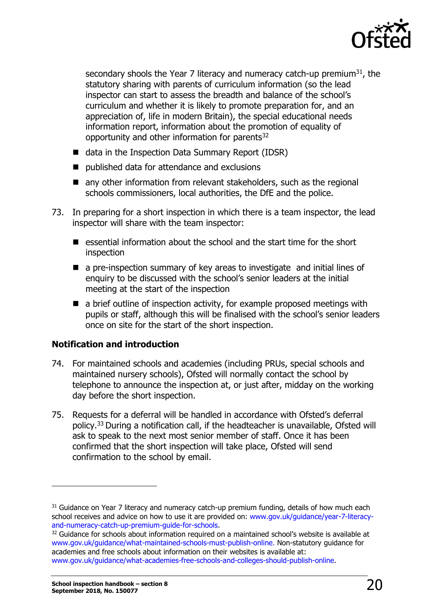

secondary shools the Year 7 literacy and numeracy catch-up premium $31$ , the statutory sharing with parents of curriculum information (so the lead inspector can start to assess the breadth and balance of the school's curriculum and whether it is likely to promote preparation for, and an appreciation of, life in modern Britain), the special educational needs information report, information about the promotion of equality of opportunity and other information for parents<sup>32</sup>

- data in the Inspection Data Summary Report (IDSR)
- published data for attendance and exclusions
- any other information from relevant stakeholders, such as the regional schools commissioners, local authorities, the DfE and the police.
- 73. In preparing for a short inspection in which there is a team inspector, the lead inspector will share with the team inspector:
	- $\blacksquare$  essential information about the school and the start time for the short inspection
	- a pre-inspection summary of key areas to investigate and initial lines of enquiry to be discussed with the school's senior leaders at the initial meeting at the start of the inspection
	- $\blacksquare$  a brief outline of inspection activity, for example proposed meetings with pupils or staff, although this will be finalised with the school's senior leaders once on site for the start of the short inspection.

#### **Notification and introduction**

- 74. For maintained schools and academies (including PRUs, special schools and maintained nursery schools), Ofsted will normally contact the school by telephone to announce the inspection at, or just after, midday on the working day before the short inspection.
- 75. Requests for a deferral will be handled in accordance with Ofsted's deferral policy.<sup>33</sup> During a notification call, if the headteacher is unavailable, Ofsted will ask to speak to the next most senior member of staff. Once it has been confirmed that the short inspection will take place, Ofsted will send confirmation to the school by email.

 $31$  Guidance on Year 7 literacy and numeracy catch-up premium funding, details of how much each school receives and advice on how to use it are provided on: [www.gov.uk/guidance/year-7-literacy](http://www.gov.uk/guidance/year-7-literacy-and-numeracy-catch-up-premium-guide-for-schools)[and-numeracy-catch-up-premium-guide-for-schools.](http://www.gov.uk/guidance/year-7-literacy-and-numeracy-catch-up-premium-guide-for-schools)

 $32$  Guidance for schools about information required on a maintained school's website is available at [www.gov.uk/guidance/what-maintained-schools-must-publish-online.](http://www.gov.uk/guidance/what-maintained-schools-must-publish-online) Non-statutory guidance for academies and free schools about information on their websites is available at: [www.gov.uk/guidance/what-academies-free-schools-and-colleges-should-publish-online.](http://www.gov.uk/guidance/what-academies-free-schools-and-colleges-should-publish-online)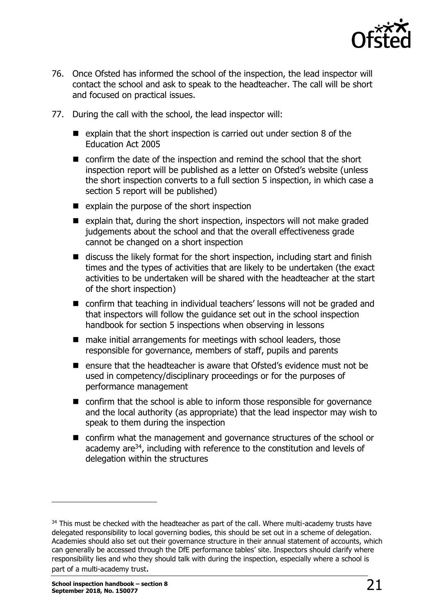

- 76. Once Ofsted has informed the school of the inspection, the lead inspector will contact the school and ask to speak to the headteacher. The call will be short and focused on practical issues.
- 77. During the call with the school, the lead inspector will:
	- $\blacksquare$  explain that the short inspection is carried out under section 8 of the Education Act 2005
	- confirm the date of the inspection and remind the school that the short inspection report will be published as a letter on Ofsted's website (unless the short inspection converts to a full section 5 inspection, in which case a section 5 report will be published)
	- $\blacksquare$  explain the purpose of the short inspection
	- $\blacksquare$  explain that, during the short inspection, inspectors will not make graded judgements about the school and that the overall effectiveness grade cannot be changed on a short inspection
	- $\blacksquare$  discuss the likely format for the short inspection, including start and finish times and the types of activities that are likely to be undertaken (the exact activities to be undertaken will be shared with the headteacher at the start of the short inspection)
	- confirm that teaching in individual teachers' lessons will not be graded and that inspectors will follow the guidance set out in the school inspection handbook for section 5 inspections when observing in lessons
	- make initial arrangements for meetings with school leaders, those responsible for governance, members of staff, pupils and parents
	- $\blacksquare$  ensure that the headteacher is aware that Ofsted's evidence must not be used in competency/disciplinary proceedings or for the purposes of performance management
	- $\blacksquare$  confirm that the school is able to inform those responsible for governance and the local authority (as appropriate) that the lead inspector may wish to speak to them during the inspection
	- confirm what the management and governance structures of the school or academy are<sup>34</sup>, including with reference to the constitution and levels of delegation within the structures

<sup>&</sup>lt;sup>34</sup> This must be checked with the headteacher as part of the call. Where multi-academy trusts have delegated responsibility to local governing bodies, this should be set out in a scheme of delegation. Academies should also set out their governance structure in their annual statement of accounts, which can generally be accessed through the DfE performance tables' site. Inspectors should clarify where responsibility lies and who they should talk with during the inspection, especially where a school is part of a multi-academy trust.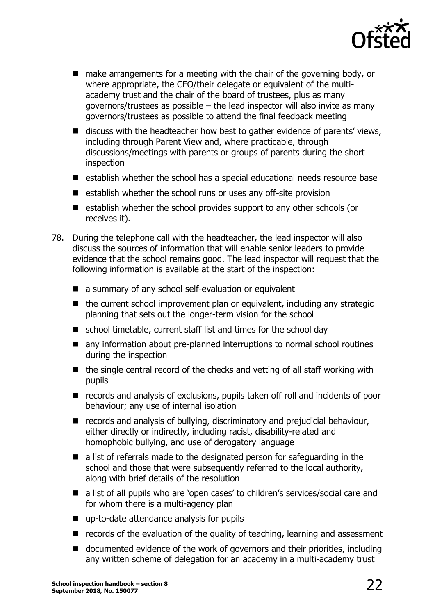

- make arrangements for a meeting with the chair of the governing body, or where appropriate, the CEO/their delegate or equivalent of the multiacademy trust and the chair of the board of trustees, plus as many governors/trustees as possible – the lead inspector will also invite as many governors/trustees as possible to attend the final feedback meeting
- discuss with the headteacher how best to gather evidence of parents' views, including through Parent View and, where practicable, through discussions/meetings with parents or groups of parents during the short inspection
- establish whether the school has a special educational needs resource base
- $\blacksquare$  establish whether the school runs or uses any off-site provision
- $\blacksquare$  establish whether the school provides support to any other schools (or receives it).
- 78. During the telephone call with the headteacher, the lead inspector will also discuss the sources of information that will enable senior leaders to provide evidence that the school remains good. The lead inspector will request that the following information is available at the start of the inspection:
	- a summary of any school self-evaluation or equivalent
	- $\blacksquare$  the current school improvement plan or equivalent, including any strategic planning that sets out the longer-term vision for the school
	- school timetable, current staff list and times for the school day
	- any information about pre-planned interruptions to normal school routines during the inspection
	- $\blacksquare$  the single central record of the checks and vetting of all staff working with pupils
	- records and analysis of exclusions, pupils taken off roll and incidents of poor behaviour; any use of internal isolation
	- records and analysis of bullying, discriminatory and prejudicial behaviour, either directly or indirectly, including racist, disability-related and homophobic bullying, and use of derogatory language
	- a list of referrals made to the designated person for safeguarding in the school and those that were subsequently referred to the local authority, along with brief details of the resolution
	- a list of all pupils who are 'open cases' to children's services/social care and for whom there is a multi-agency plan
	- up-to-date attendance analysis for pupils
	- $\blacksquare$  records of the evaluation of the quality of teaching, learning and assessment
	- documented evidence of the work of governors and their priorities, including any written scheme of delegation for an academy in a multi-academy trust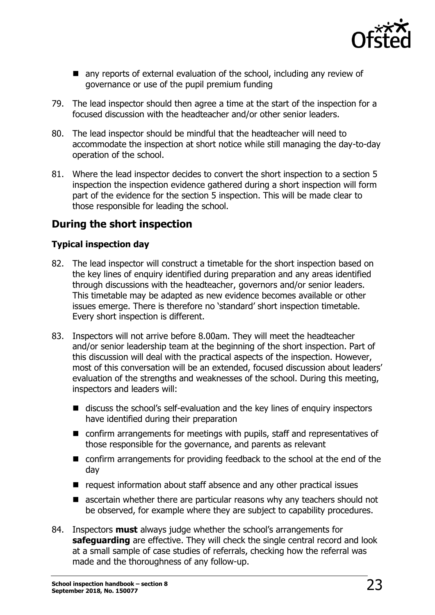

- any reports of external evaluation of the school, including any review of governance or use of the pupil premium funding
- 79. The lead inspector should then agree a time at the start of the inspection for a focused discussion with the headteacher and/or other senior leaders.
- 80. The lead inspector should be mindful that the headteacher will need to accommodate the inspection at short notice while still managing the day-to-day operation of the school.
- 81. Where the lead inspector decides to convert the short inspection to a section 5 inspection the inspection evidence gathered during a short inspection will form part of the evidence for the section 5 inspection. This will be made clear to those responsible for leading the school.

# **During the short inspection**

#### **Typical inspection day**

- 82. The lead inspector will construct a timetable for the short inspection based on the key lines of enquiry identified during preparation and any areas identified through discussions with the headteacher, governors and/or senior leaders. This timetable may be adapted as new evidence becomes available or other issues emerge. There is therefore no 'standard' short inspection timetable. Every short inspection is different.
- 83. Inspectors will not arrive before 8.00am. They will meet the headteacher and/or senior leadership team at the beginning of the short inspection. Part of this discussion will deal with the practical aspects of the inspection. However, most of this conversation will be an extended, focused discussion about leaders' evaluation of the strengths and weaknesses of the school. During this meeting, inspectors and leaders will:
	- discuss the school's self-evaluation and the key lines of enquiry inspectors have identified during their preparation
	- confirm arrangements for meetings with pupils, staff and representatives of those responsible for the governance, and parents as relevant
	- confirm arrangements for providing feedback to the school at the end of the day
	- request information about staff absence and any other practical issues
	- **E** ascertain whether there are particular reasons why any teachers should not be observed, for example where they are subject to capability procedures.
- 84. Inspectors **must** always judge whether the school's arrangements for **safeguarding** are effective. They will check the single central record and look at a small sample of case studies of referrals, checking how the referral was made and the thoroughness of any follow-up.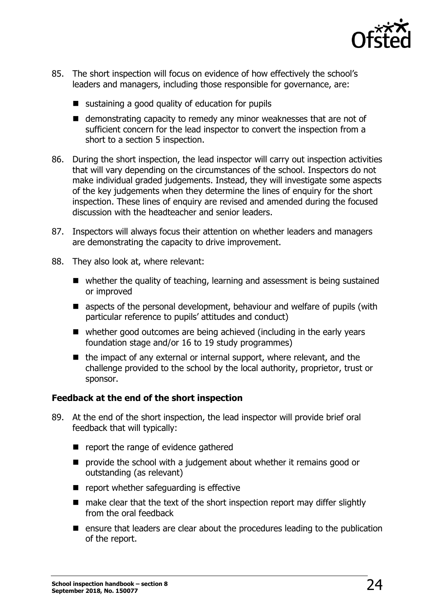

- 85. The short inspection will focus on evidence of how effectively the school's leaders and managers, including those responsible for governance, are:
	- sustaining a good quality of education for pupils
	- demonstrating capacity to remedy any minor weaknesses that are not of sufficient concern for the lead inspector to convert the inspection from a short to a section 5 inspection.
- 86. During the short inspection, the lead inspector will carry out inspection activities that will vary depending on the circumstances of the school. Inspectors do not make individual graded judgements. Instead, they will investigate some aspects of the key judgements when they determine the lines of enquiry for the short inspection. These lines of enquiry are revised and amended during the focused discussion with the headteacher and senior leaders.
- 87. Inspectors will always focus their attention on whether leaders and managers are demonstrating the capacity to drive improvement.
- 88. They also look at, where relevant:
	- whether the quality of teaching, learning and assessment is being sustained or improved
	- aspects of the personal development, behaviour and welfare of pupils (with particular reference to pupils' attitudes and conduct)
	- whether good outcomes are being achieved (including in the early years foundation stage and/or 16 to 19 study programmes)
	- $\blacksquare$  the impact of any external or internal support, where relevant, and the challenge provided to the school by the local authority, proprietor, trust or sponsor.

#### **Feedback at the end of the short inspection**

- 89. At the end of the short inspection, the lead inspector will provide brief oral feedback that will typically:
	- **P** report the range of evidence gathered
	- **P** provide the school with a judgement about whether it remains good or outstanding (as relevant)
	- $\blacksquare$  report whether safeguarding is effective
	- make clear that the text of the short inspection report may differ slightly from the oral feedback
	- $\blacksquare$  ensure that leaders are clear about the procedures leading to the publication of the report.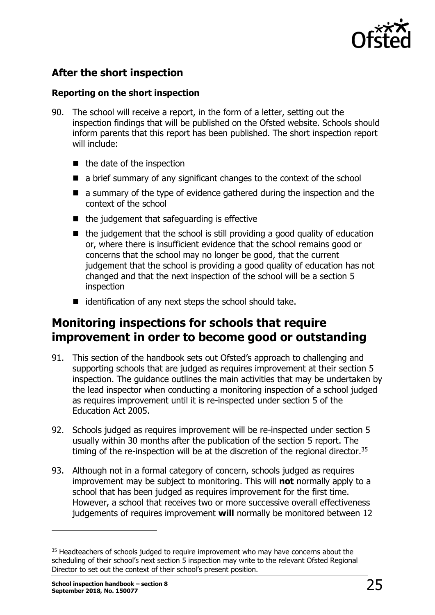

# **After the short inspection**

#### **Reporting on the short inspection**

- 90. The school will receive a report, in the form of a letter, setting out the inspection findings that will be published on the Ofsted website. Schools should inform parents that this report has been published. The short inspection report will include:
	- $\blacksquare$  the date of the inspection
	- a brief summary of any significant changes to the context of the school
	- a summary of the type of evidence gathered during the inspection and the context of the school
	- $\blacksquare$  the judgement that safeguarding is effective
	- $\blacksquare$  the judgement that the school is still providing a good quality of education or, where there is insufficient evidence that the school remains good or concerns that the school may no longer be good, that the current judgement that the school is providing a good quality of education has not changed and that the next inspection of the school will be a section 5 inspection
	- $\blacksquare$  identification of any next steps the school should take.

# <span id="page-24-0"></span>**Monitoring inspections for schools that require improvement in order to become good or outstanding**

- 91. This section of the handbook sets out Ofsted's approach to challenging and supporting schools that are judged as requires improvement at their section 5 inspection. The guidance outlines the main activities that may be undertaken by the lead inspector when conducting a monitoring inspection of a school judged as requires improvement until it is re-inspected under section 5 of the Education Act 2005.
- 92. Schools judged as requires improvement will be re-inspected under section 5 usually within 30 months after the publication of the section 5 report. The timing of the re-inspection will be at the discretion of the regional director.<sup>35</sup>
- 93. Although not in a formal category of concern, schools judged as requires improvement may be subject to monitoring. This will **not** normally apply to a school that has been judged as requires improvement for the first time. However, a school that receives two or more successive overall effectiveness judgements of requires improvement **will** normally be monitored between 12

<sup>&</sup>lt;sup>35</sup> Headteachers of schools judged to require improvement who may have concerns about the scheduling of their school's next section 5 inspection may write to the relevant Ofsted Regional Director to set out the context of their school's present position.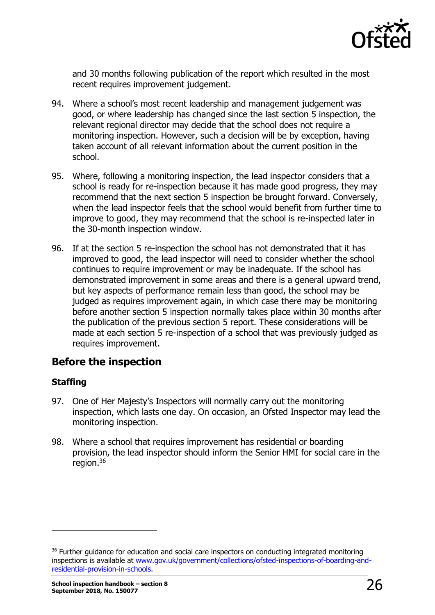

and 30 months following publication of the report which resulted in the most recent requires improvement judgement.

- 94. Where a school's most recent leadership and management judgement was good, or where leadership has changed since the last section 5 inspection, the relevant regional director may decide that the school does not require a monitoring inspection. However, such a decision will be by exception, having taken account of all relevant information about the current position in the school.
- 95. Where, following a monitoring inspection, the lead inspector considers that a school is ready for re-inspection because it has made good progress, they may recommend that the next section 5 inspection be brought forward. Conversely, when the lead inspector feels that the school would benefit from further time to improve to good, they may recommend that the school is re-inspected later in the 30-month inspection window.
- 96. If at the section 5 re-inspection the school has not demonstrated that it has improved to good, the lead inspector will need to consider whether the school continues to require improvement or may be inadequate. If the school has demonstrated improvement in some areas and there is a general upward trend, but key aspects of performance remain less than good, the school may be judged as requires improvement again, in which case there may be monitoring before another section 5 inspection normally takes place within 30 months after the publication of the previous section 5 report. These considerations will be made at each section 5 re-inspection of a school that was previously judged as requires improvement.

### **Before the inspection**

#### **Staffing**

- 97. One of Her Majesty's Inspectors will normally carry out the monitoring inspection, which lasts one day. On occasion, an Ofsted Inspector may lead the monitoring inspection.
- 98. Where a school that requires improvement has residential or boarding provision, the lead inspector should inform the Senior HMI for social care in the  $real$ iegion.<sup>36</sup>

<sup>&</sup>lt;sup>36</sup> Further guidance for education and social care inspectors on conducting integrated monitoring inspections is available at [www.gov.uk/government/collections/ofsted-inspections-of-boarding-and](http://www.gov.uk/government/collections/ofsted-inspections-of-boarding-and-residential-provision-in-schools)[residential-provision-in-schools.](http://www.gov.uk/government/collections/ofsted-inspections-of-boarding-and-residential-provision-in-schools)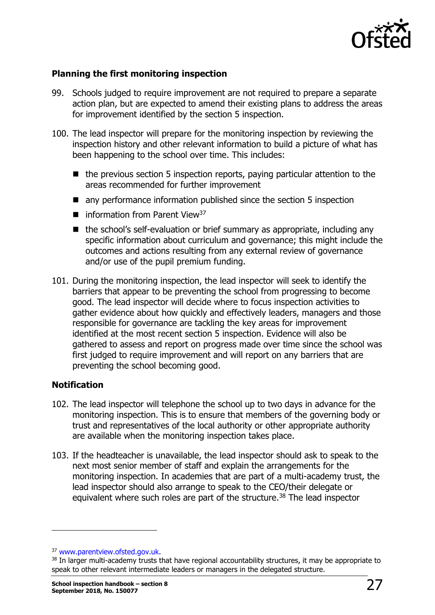

#### **Planning the first monitoring inspection**

- 99. Schools judged to require improvement are not required to prepare a separate action plan, but are expected to amend their existing plans to address the areas for improvement identified by the section 5 inspection.
- 100. The lead inspector will prepare for the monitoring inspection by reviewing the inspection history and other relevant information to build a picture of what has been happening to the school over time. This includes:
	- $\blacksquare$  the previous section 5 inspection reports, paying particular attention to the areas recommended for further improvement
	- any performance information published since the section 5 inspection
	- $\blacksquare$  information from Parent View<sup>37</sup>
	- $\blacksquare$  the school's self-evaluation or brief summary as appropriate, including any specific information about curriculum and governance; this might include the outcomes and actions resulting from any external review of governance and/or use of the pupil premium funding.
- 101. During the monitoring inspection, the lead inspector will seek to identify the barriers that appear to be preventing the school from progressing to become good. The lead inspector will decide where to focus inspection activities to gather evidence about how quickly and effectively leaders, managers and those responsible for governance are tackling the key areas for improvement identified at the most recent section 5 inspection. Evidence will also be gathered to assess and report on progress made over time since the school was first judged to require improvement and will report on any barriers that are preventing the school becoming good.

#### **Notification**

- 102. The lead inspector will telephone the school up to two days in advance for the monitoring inspection. This is to ensure that members of the governing body or trust and representatives of the local authority or other appropriate authority are available when the monitoring inspection takes place.
- 103. If the headteacher is unavailable, the lead inspector should ask to speak to the next most senior member of staff and explain the arrangements for the monitoring inspection. In academies that are part of a multi-academy trust, the lead inspector should also arrange to speak to the CEO/their delegate or equivalent where such roles are part of the structure.<sup>38</sup> The lead inspector

<sup>37</sup> [www.parentview.ofsted.gov.uk.](http://www.parentview.ofsted.gov.uk/)

<sup>38</sup> In larger multi-academy trusts that have regional accountability structures, it may be appropriate to speak to other relevant intermediate leaders or managers in the delegated structure.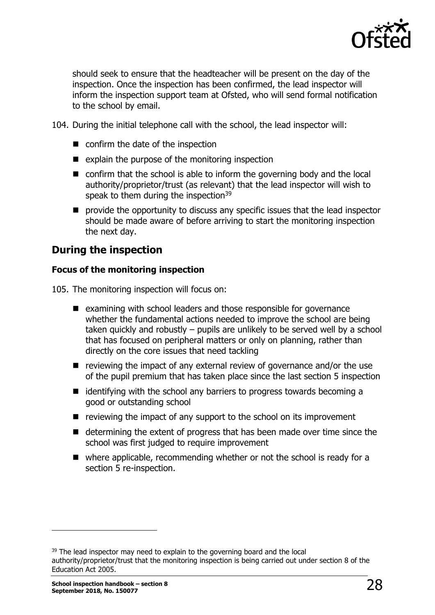

should seek to ensure that the headteacher will be present on the day of the inspection. Once the inspection has been confirmed, the lead inspector will inform the inspection support team at Ofsted, who will send formal notification to the school by email.

- 104. During the initial telephone call with the school, the lead inspector will:
	- confirm the date of the inspection
	- $\blacksquare$  explain the purpose of the monitoring inspection
	- confirm that the school is able to inform the governing body and the local authority/proprietor/trust (as relevant) that the lead inspector will wish to speak to them during the inspection<sup>39</sup>
	- **P** provide the opportunity to discuss any specific issues that the lead inspector should be made aware of before arriving to start the monitoring inspection the next day.

### **During the inspection**

#### **Focus of the monitoring inspection**

105. The monitoring inspection will focus on:

- examining with school leaders and those responsible for governance whether the fundamental actions needed to improve the school are being taken quickly and robustly – pupils are unlikely to be served well by a school that has focused on peripheral matters or only on planning, rather than directly on the core issues that need tackling
- $\blacksquare$  reviewing the impact of any external review of governance and/or the use of the pupil premium that has taken place since the last section 5 inspection
- $\blacksquare$  identifying with the school any barriers to progress towards becoming a good or outstanding school
- $\blacksquare$  reviewing the impact of any support to the school on its improvement
- $\blacksquare$  determining the extent of progress that has been made over time since the school was first judged to require improvement
- $\blacksquare$  where applicable, recommending whether or not the school is ready for a section 5 re-inspection.

<sup>&</sup>lt;sup>39</sup> The lead inspector may need to explain to the governing board and the local authority/proprietor/trust that the monitoring inspection is being carried out under section 8 of the Education Act 2005.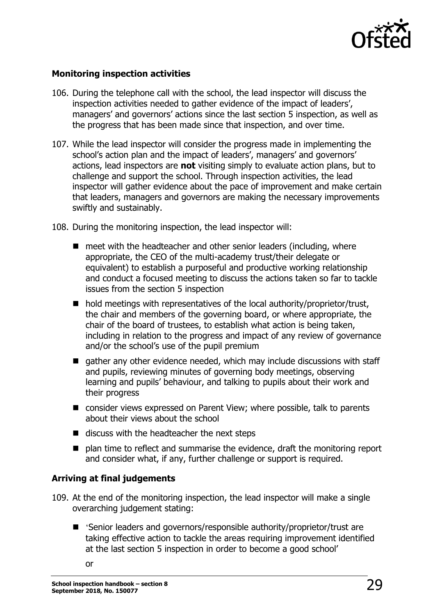

#### **Monitoring inspection activities**

- 106. During the telephone call with the school, the lead inspector will discuss the inspection activities needed to gather evidence of the impact of leaders', managers' and governors' actions since the last section 5 inspection, as well as the progress that has been made since that inspection, and over time.
- 107. While the lead inspector will consider the progress made in implementing the school's action plan and the impact of leaders', managers' and governors' actions, lead inspectors are **not** visiting simply to evaluate action plans, but to challenge and support the school. Through inspection activities, the lead inspector will gather evidence about the pace of improvement and make certain that leaders, managers and governors are making the necessary improvements swiftly and sustainably.
- 108. During the monitoring inspection, the lead inspector will:
	- $\blacksquare$  meet with the headteacher and other senior leaders (including, where appropriate, the CEO of the multi-academy trust/their delegate or equivalent) to establish a purposeful and productive working relationship and conduct a focused meeting to discuss the actions taken so far to tackle issues from the section 5 inspection
	- $\blacksquare$  hold meetings with representatives of the local authority/proprietor/trust, the chair and members of the governing board, or where appropriate, the chair of the board of trustees, to establish what action is being taken, including in relation to the progress and impact of any review of governance and/or the school's use of the pupil premium
	- qather any other evidence needed, which may include discussions with staff and pupils, reviewing minutes of governing body meetings, observing learning and pupils' behaviour, and talking to pupils about their work and their progress
	- consider views expressed on Parent View; where possible, talk to parents about their views about the school
	- $\blacksquare$  discuss with the headteacher the next steps
	- $\blacksquare$  plan time to reflect and summarise the evidence, draft the monitoring report and consider what, if any, further challenge or support is required.

#### **Arriving at final judgements**

- 109. At the end of the monitoring inspection, the lead inspector will make a single overarching judgement stating:
	- 'Senior leaders and governors/responsible authority/proprietor/trust are taking effective action to tackle the areas requiring improvement identified at the last section 5 inspection in order to become a good school'
		- or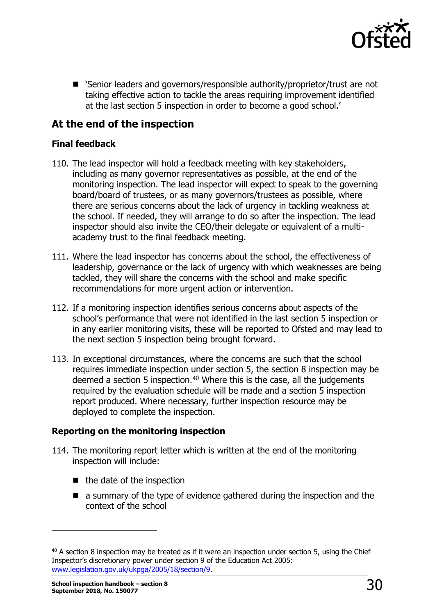

■ 'Senior leaders and governors/responsible authority/proprietor/trust are not taking effective action to tackle the areas requiring improvement identified at the last section 5 inspection in order to become a good school.'

# **At the end of the inspection**

#### **Final feedback**

- 110. The lead inspector will hold a feedback meeting with key stakeholders, including as many governor representatives as possible, at the end of the monitoring inspection. The lead inspector will expect to speak to the governing board/board of trustees, or as many governors/trustees as possible, where there are serious concerns about the lack of urgency in tackling weakness at the school. If needed, they will arrange to do so after the inspection. The lead inspector should also invite the CEO/their delegate or equivalent of a multiacademy trust to the final feedback meeting.
- 111. Where the lead inspector has concerns about the school, the effectiveness of leadership, governance or the lack of urgency with which weaknesses are being tackled, they will share the concerns with the school and make specific recommendations for more urgent action or intervention.
- 112. If a monitoring inspection identifies serious concerns about aspects of the school's performance that were not identified in the last section 5 inspection or in any earlier monitoring visits, these will be reported to Ofsted and may lead to the next section 5 inspection being brought forward.
- 113. In exceptional circumstances, where the concerns are such that the school requires immediate inspection under section 5, the section 8 inspection may be deemed a section 5 inspection.<sup>40</sup> Where this is the case, all the judgements required by the evaluation schedule will be made and a section 5 inspection report produced. Where necessary, further inspection resource may be deployed to complete the inspection.

#### **Reporting on the monitoring inspection**

- 114. The monitoring report letter which is written at the end of the monitoring inspection will include:
	- $\blacksquare$  the date of the inspection
	- **E** a summary of the type of evidence gathered during the inspection and the context of the school

 $40$  A section 8 inspection may be treated as if it were an inspection under section 5, using the Chief Inspector's discretionary power under section 9 of the Education Act 2005: [www.legislation.gov.uk/ukpga/2005/18/section/9.](http://www.legislation.gov.uk/ukpga/2005/18/section/9)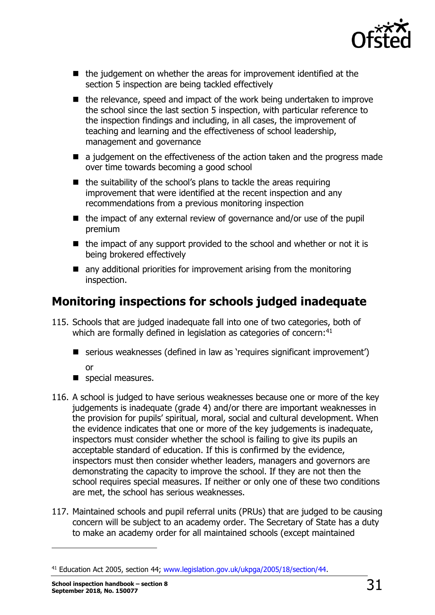

- the judgement on whether the areas for improvement identified at the section 5 inspection are being tackled effectively
- $\blacksquare$  the relevance, speed and impact of the work being undertaken to improve the school since the last section 5 inspection, with particular reference to the inspection findings and including, in all cases, the improvement of teaching and learning and the effectiveness of school leadership, management and governance
- a judgement on the effectiveness of the action taken and the progress made over time towards becoming a good school
- $\blacksquare$  the suitability of the school's plans to tackle the areas requiring improvement that were identified at the recent inspection and any recommendations from a previous monitoring inspection
- $\blacksquare$  the impact of any external review of governance and/or use of the pupil premium
- $\blacksquare$  the impact of any support provided to the school and whether or not it is being brokered effectively
- any additional priorities for improvement arising from the monitoring inspection.

# <span id="page-30-0"></span>**Monitoring inspections for schools judged inadequate**

- 115. Schools that are judged inadequate fall into one of two categories, both of which are formally defined in legislation as categories of concern:<sup>41</sup>
	- serious weaknesses (defined in law as 'requires significant improvement') or
	- special measures.
- 116. A school is judged to have serious weaknesses because one or more of the key judgements is inadequate (grade 4) and/or there are important weaknesses in the provision for pupils' spiritual, moral, social and cultural development. When the evidence indicates that one or more of the key judgements is inadequate, inspectors must consider whether the school is failing to give its pupils an acceptable standard of education. If this is confirmed by the evidence, inspectors must then consider whether leaders, managers and governors are demonstrating the capacity to improve the school. If they are not then the school requires special measures. If neither or only one of these two conditions are met, the school has serious weaknesses.
- 117. Maintained schools and pupil referral units (PRUs) that are judged to be causing concern will be subject to an academy order. The Secretary of State has a duty to make an academy order for all maintained schools (except maintained

<sup>&</sup>lt;sup>41</sup> Education Act 2005, section 44; [www.legislation.gov.uk/ukpga/2005/18/section/44.](http://www.legislation.gov.uk/ukpga/2005/18/section/44)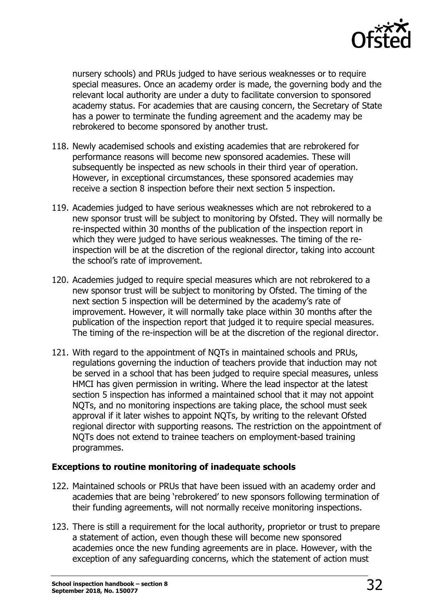

nursery schools) and PRUs judged to have serious weaknesses or to require special measures. Once an academy order is made, the governing body and the relevant local authority are under a duty to facilitate conversion to sponsored academy status. For academies that are causing concern, the Secretary of State has a power to terminate the funding agreement and the academy may be rebrokered to become sponsored by another trust.

- 118. Newly academised schools and existing academies that are rebrokered for performance reasons will become new sponsored academies. These will subsequently be inspected as new schools in their third year of operation. However, in exceptional circumstances, these sponsored academies may receive a section 8 inspection before their next section 5 inspection.
- 119. Academies judged to have serious weaknesses which are not rebrokered to a new sponsor trust will be subject to monitoring by Ofsted. They will normally be re-inspected within 30 months of the publication of the inspection report in which they were judged to have serious weaknesses. The timing of the reinspection will be at the discretion of the regional director, taking into account the school's rate of improvement.
- 120. Academies judged to require special measures which are not rebrokered to a new sponsor trust will be subject to monitoring by Ofsted. The timing of the next section 5 inspection will be determined by the academy's rate of improvement. However, it will normally take place within 30 months after the publication of the inspection report that judged it to require special measures. The timing of the re-inspection will be at the discretion of the regional director.
- 121. With regard to the appointment of NQTs in maintained schools and PRUs, regulations governing the induction of teachers provide that induction may not be served in a school that has been judged to require special measures, unless HMCI has given permission in writing. Where the lead inspector at the latest section 5 inspection has informed a maintained school that it may not appoint NQTs, and no monitoring inspections are taking place, the school must seek approval if it later wishes to appoint NQTs, by writing to the relevant Ofsted regional director with supporting reasons. The restriction on the appointment of NQTs does not extend to trainee teachers on employment-based training programmes.

#### **Exceptions to routine monitoring of inadequate schools**

- 122. Maintained schools or PRUs that have been issued with an academy order and academies that are being 'rebrokered' to new sponsors following termination of their funding agreements, will not normally receive monitoring inspections.
- 123. There is still a requirement for the local authority, proprietor or trust to prepare a statement of action, even though these will become new sponsored academies once the new funding agreements are in place. However, with the exception of any safeguarding concerns, which the statement of action must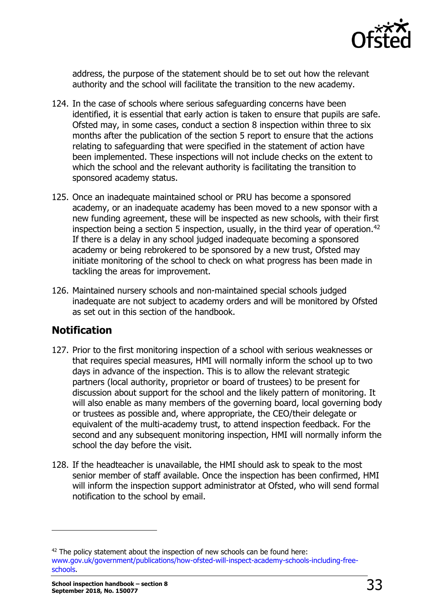

address, the purpose of the statement should be to set out how the relevant authority and the school will facilitate the transition to the new academy.

- 124. In the case of schools where serious safeguarding concerns have been identified, it is essential that early action is taken to ensure that pupils are safe. Ofsted may, in some cases, conduct a section 8 inspection within three to six months after the publication of the section 5 report to ensure that the actions relating to safeguarding that were specified in the statement of action have been implemented. These inspections will not include checks on the extent to which the school and the relevant authority is facilitating the transition to sponsored academy status.
- 125. Once an inadequate maintained school or PRU has become a sponsored academy, or an inadequate academy has been moved to a new sponsor with a new funding agreement, these will be inspected as new schools, with their first inspection being a section 5 inspection, usually, in the third year of operation.<sup>42</sup> If there is a delay in any school judged inadequate becoming a sponsored academy or being rebrokered to be sponsored by a new trust, Ofsted may initiate monitoring of the school to check on what progress has been made in tackling the areas for improvement.
- 126. Maintained nursery schools and non-maintained special schools judged inadequate are not subject to academy orders and will be monitored by Ofsted as set out in this section of the handbook.

### **Notification**

- 127. Prior to the first monitoring inspection of a school with serious weaknesses or that requires special measures, HMI will normally inform the school up to two days in advance of the inspection. This is to allow the relevant strategic partners (local authority, proprietor or board of trustees) to be present for discussion about support for the school and the likely pattern of monitoring. It will also enable as many members of the governing board, local governing body or trustees as possible and, where appropriate, the CEO/their delegate or equivalent of the multi-academy trust, to attend inspection feedback. For the second and any subsequent monitoring inspection, HMI will normally inform the school the day before the visit.
- 128. If the headteacher is unavailable, the HMI should ask to speak to the most senior member of staff available. Once the inspection has been confirmed, HMI will inform the inspection support administrator at Ofsted, who will send formal notification to the school by email.

 $42$  The policy statement about the inspection of new schools can be found here: [www.gov.uk/government/publications/how-ofsted-will-inspect-academy-schools-including-free](https://www.gov.uk/government/publications/how-ofsted-will-inspect-academy-schools-including-free-schools)[schools.](https://www.gov.uk/government/publications/how-ofsted-will-inspect-academy-schools-including-free-schools)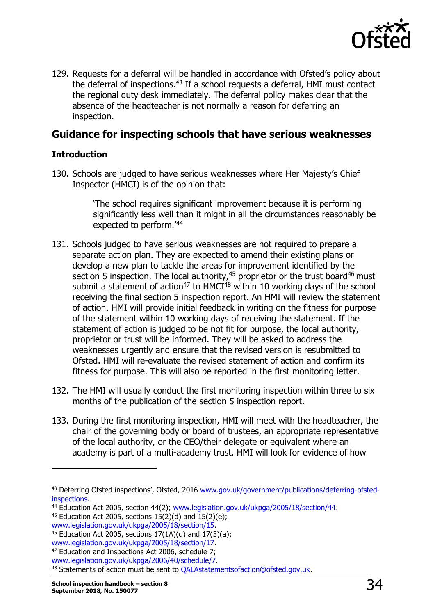

129. Requests for a deferral will be handled in accordance with Ofsted's policy about the deferral of inspections. $43$  If a school requests a deferral, HMI must contact the regional duty desk immediately. The deferral policy makes clear that the absence of the headteacher is not normally a reason for deferring an inspection.

### **Guidance for inspecting schools that have serious weaknesses**

#### **Introduction**

130. Schools are judged to have serious weaknesses where Her Majesty's Chief Inspector (HMCI) is of the opinion that:

> 'The school requires significant improvement because it is performing significantly less well than it might in all the circumstances reasonably be expected to perform.'<sup>44</sup>

- 131. Schools judged to have serious weaknesses are not required to prepare a separate action plan. They are expected to amend their existing plans or develop a new plan to tackle the areas for improvement identified by the section 5 inspection. The local authority, $45$  proprietor or the trust board $46$  must submit a statement of action<sup>47</sup> to HMCI $48$  within 10 working days of the school receiving the final section 5 inspection report. An HMI will review the statement of action. HMI will provide initial feedback in writing on the fitness for purpose of the statement within 10 working days of receiving the statement. If the statement of action is judged to be not fit for purpose, the local authority, proprietor or trust will be informed. They will be asked to address the weaknesses urgently and ensure that the revised version is resubmitted to Ofsted. HMI will re-evaluate the revised statement of action and confirm its fitness for purpose. This will also be reported in the first monitoring letter.
- 132. The HMI will usually conduct the first monitoring inspection within three to six months of the publication of the section 5 inspection report.
- 133. During the first monitoring inspection, HMI will meet with the headteacher, the chair of the governing body or board of trustees, an appropriate representative of the local authority, or the CEO/their delegate or equivalent where an academy is part of a multi-academy trust. HMI will look for evidence of how

<sup>43</sup> Deferring Ofsted inspections', Ofsted, 2016 [www.gov.uk/government/publications/deferring-ofsted](http://www.gov.uk/government/publications/deferring-ofsted-inspections)[inspections.](http://www.gov.uk/government/publications/deferring-ofsted-inspections)

<sup>&</sup>lt;sup>44</sup> Education Act 2005, section 44(2); [www.legislation.gov.uk/ukpga/2005/18/section/44.](http://www.legislation.gov.uk/ukpga/2005/18/section/44)

<sup>&</sup>lt;sup>45</sup> Education Act 2005, sections  $15(2)(d)$  and  $15(2)(e)$ ;

[www.legislation.gov.uk/ukpga/2005/18/section/15.](http://www.legislation.gov.uk/ukpga/2005/18/section/15)

<sup>&</sup>lt;sup>46</sup> Education Act 2005, sections  $17(1A)(d)$  and  $17(3)(a)$ ; [www.legislation.gov.uk/ukpga/2005/18/section/17.](http://www.legislation.gov.uk/ukpga/2005/18/section/17)

<sup>&</sup>lt;sup>47</sup> Education and Inspections Act 2006, schedule 7;

[www.legislation.gov.uk/ukpga/2006/40/schedule/7.](http://www.legislation.gov.uk/ukpga/2006/40/schedule/7)

<sup>48</sup> Statements of action must be sent to [QALAstatementsofaction@ofsted.gov.uk.](mailto:QALAstatementsofaction@ofsted.gov.uk)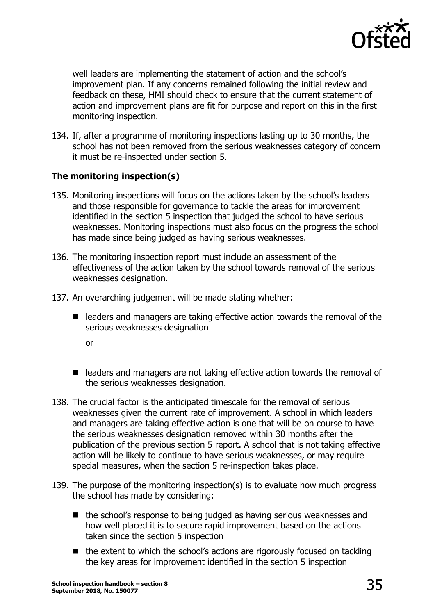

well leaders are implementing the statement of action and the school's improvement plan. If any concerns remained following the initial review and feedback on these, HMI should check to ensure that the current statement of action and improvement plans are fit for purpose and report on this in the first monitoring inspection.

134. If, after a programme of monitoring inspections lasting up to 30 months, the school has not been removed from the serious weaknesses category of concern it must be re-inspected under section 5.

#### **The monitoring inspection(s)**

- 135. Monitoring inspections will focus on the actions taken by the school's leaders and those responsible for governance to tackle the areas for improvement identified in the section 5 inspection that judged the school to have serious weaknesses. Monitoring inspections must also focus on the progress the school has made since being judged as having serious weaknesses.
- 136. The monitoring inspection report must include an assessment of the effectiveness of the action taken by the school towards removal of the serious weaknesses designation.
- 137. An overarching judgement will be made stating whether:
	- $\blacksquare$  leaders and managers are taking effective action towards the removal of the serious weaknesses designation
		- or
	- leaders and managers are not taking effective action towards the removal of the serious weaknesses designation.
- 138. The crucial factor is the anticipated timescale for the removal of serious weaknesses given the current rate of improvement. A school in which leaders and managers are taking effective action is one that will be on course to have the serious weaknesses designation removed within 30 months after the publication of the previous section 5 report. A school that is not taking effective action will be likely to continue to have serious weaknesses, or may require special measures, when the section 5 re-inspection takes place.
- 139. The purpose of the monitoring inspection(s) is to evaluate how much progress the school has made by considering:
	- the school's response to being judged as having serious weaknesses and how well placed it is to secure rapid improvement based on the actions taken since the section 5 inspection
	- the extent to which the school's actions are rigorously focused on tackling the key areas for improvement identified in the section 5 inspection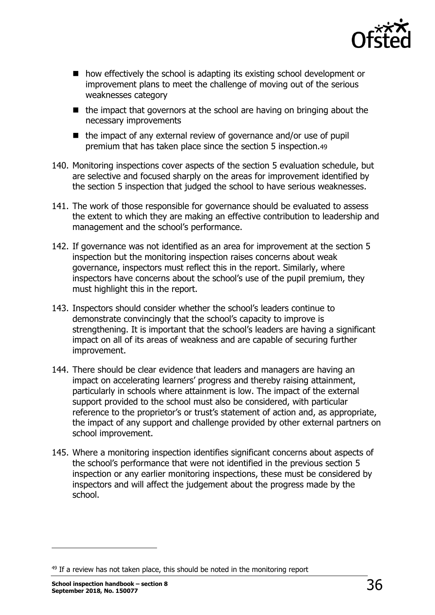

- how effectively the school is adapting its existing school development or improvement plans to meet the challenge of moving out of the serious weaknesses category
- $\blacksquare$  the impact that governors at the school are having on bringing about the necessary improvements
- $\blacksquare$  the impact of any external review of governance and/or use of pupil premium that has taken place since the section 5 inspection.49
- 140. Monitoring inspections cover aspects of the section 5 evaluation schedule, but are selective and focused sharply on the areas for improvement identified by the section 5 inspection that judged the school to have serious weaknesses.
- 141. The work of those responsible for governance should be evaluated to assess the extent to which they are making an effective contribution to leadership and management and the school's performance.
- 142. If governance was not identified as an area for improvement at the section 5 inspection but the monitoring inspection raises concerns about weak governance, inspectors must reflect this in the report. Similarly, where inspectors have concerns about the school's use of the pupil premium, they must highlight this in the report.
- 143. Inspectors should consider whether the school's leaders continue to demonstrate convincingly that the school's capacity to improve is strengthening. It is important that the school's leaders are having a significant impact on all of its areas of weakness and are capable of securing further improvement.
- 144. There should be clear evidence that leaders and managers are having an impact on accelerating learners' progress and thereby raising attainment, particularly in schools where attainment is low. The impact of the external support provided to the school must also be considered, with particular reference to the proprietor's or trust's statement of action and, as appropriate, the impact of any support and challenge provided by other external partners on school improvement.
- 145. Where a monitoring inspection identifies significant concerns about aspects of the school's performance that were not identified in the previous section 5 inspection or any earlier monitoring inspections, these must be considered by inspectors and will affect the judgement about the progress made by the school.

 $49$  If a review has not taken place, this should be noted in the monitoring report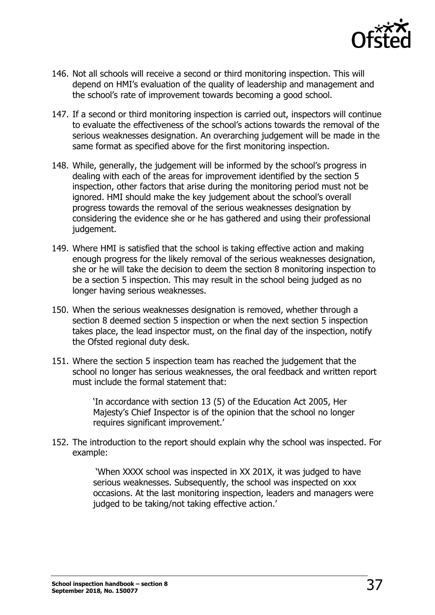

- 146. Not all schools will receive a second or third monitoring inspection. This will depend on HMI's evaluation of the quality of leadership and management and the school's rate of improvement towards becoming a good school.
- 147. If a second or third monitoring inspection is carried out, inspectors will continue to evaluate the effectiveness of the school's actions towards the removal of the serious weaknesses designation. An overarching judgement will be made in the same format as specified above for the first monitoring inspection.
- 148. While, generally, the judgement will be informed by the school's progress in dealing with each of the areas for improvement identified by the section 5 inspection, other factors that arise during the monitoring period must not be ignored. HMI should make the key judgement about the school's overall progress towards the removal of the serious weaknesses designation by considering the evidence she or he has gathered and using their professional judgement.
- 149. Where HMI is satisfied that the school is taking effective action and making enough progress for the likely removal of the serious weaknesses designation, she or he will take the decision to deem the section 8 monitoring inspection to be a section 5 inspection. This may result in the school being judged as no longer having serious weaknesses.
- 150. When the serious weaknesses designation is removed, whether through a section 8 deemed section 5 inspection or when the next section 5 inspection takes place, the lead inspector must, on the final day of the inspection, notify the Ofsted regional duty desk.
- 151. Where the section 5 inspection team has reached the judgement that the school no longer has serious weaknesses, the oral feedback and written report must include the formal statement that:

'In accordance with section 13 (5) of the Education Act 2005, Her Majesty's Chief Inspector is of the opinion that the school no longer requires significant improvement.'

152. The introduction to the report should explain why the school was inspected. For example:

> 'When XXXX school was inspected in XX 201X, it was judged to have serious weaknesses. Subsequently, the school was inspected on xxx occasions. At the last monitoring inspection, leaders and managers were judged to be taking/not taking effective action.'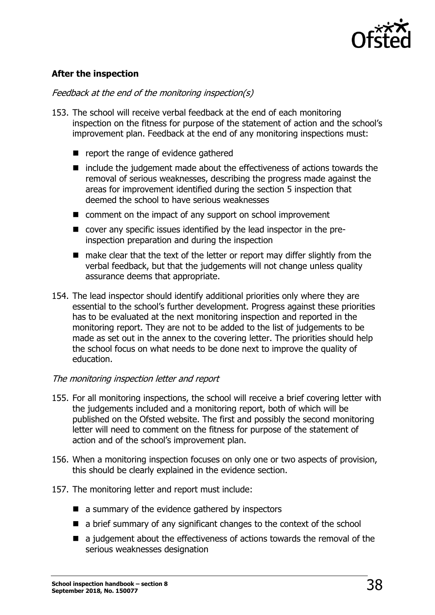

#### **After the inspection**

#### Feedback at the end of the monitoring inspection(s)

- 153. The school will receive verbal feedback at the end of each monitoring inspection on the fitness for purpose of the statement of action and the school's improvement plan. Feedback at the end of any monitoring inspections must:
	- $\blacksquare$  report the range of evidence gathered
	- $\blacksquare$  include the judgement made about the effectiveness of actions towards the removal of serious weaknesses, describing the progress made against the areas for improvement identified during the section 5 inspection that deemed the school to have serious weaknesses
	- comment on the impact of any support on school improvement
	- cover any specific issues identified by the lead inspector in the preinspection preparation and during the inspection
	- make clear that the text of the letter or report may differ slightly from the verbal feedback, but that the judgements will not change unless quality assurance deems that appropriate.
- 154. The lead inspector should identify additional priorities only where they are essential to the school's further development. Progress against these priorities has to be evaluated at the next monitoring inspection and reported in the monitoring report. They are not to be added to the list of judgements to be made as set out in the annex to the covering letter. The priorities should help the school focus on what needs to be done next to improve the quality of education.

#### The monitoring inspection letter and report

- 155. For all monitoring inspections, the school will receive a brief covering letter with the judgements included and a monitoring report, both of which will be published on the Ofsted website. The first and possibly the second monitoring letter will need to comment on the fitness for purpose of the statement of action and of the school's improvement plan.
- 156. When a monitoring inspection focuses on only one or two aspects of provision, this should be clearly explained in the evidence section.
- 157. The monitoring letter and report must include:
	- $\blacksquare$  a summary of the evidence gathered by inspectors
	- a brief summary of any significant changes to the context of the school
	- a judgement about the effectiveness of actions towards the removal of the serious weaknesses designation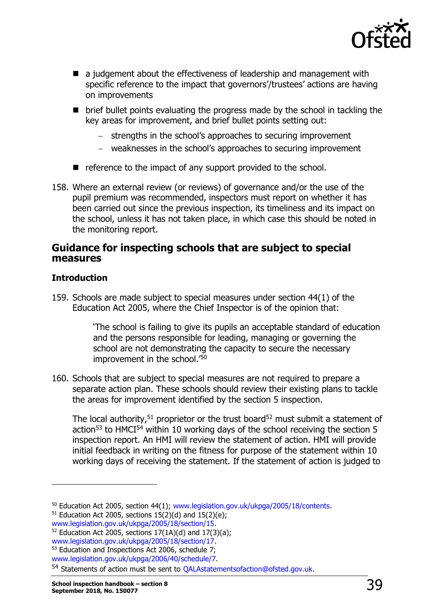

- a judgement about the effectiveness of leadership and management with specific reference to the impact that governors'/trustees' actions are having on improvements
- brief bullet points evaluating the progress made by the school in tackling the key areas for improvement, and brief bullet points setting out:
	- strengths in the school's approaches to securing improvement
	- weaknesses in the school's approaches to securing improvement
- $\blacksquare$  reference to the impact of any support provided to the school.
- 158. Where an external review (or reviews) of governance and/or the use of the pupil premium was recommended, inspectors must report on whether it has been carried out since the previous inspection, its timeliness and its impact on the school, unless it has not taken place, in which case this should be noted in the monitoring report.

#### **Guidance for inspecting schools that are subject to special measures**

#### **Introduction**

ł

159. Schools are made subject to special measures under section 44(1) of the Education Act 2005, where the Chief Inspector is of the opinion that:

> 'The school is failing to give its pupils an acceptable standard of education and the persons responsible for leading, managing or governing the school are not demonstrating the capacity to secure the necessary improvement in the school.'<sup>50</sup>

160. Schools that are subject to special measures are not required to prepare a separate action plan. These schools should review their existing plans to tackle the areas for improvement identified by the section 5 inspection.

The local authority,<sup>51</sup> proprietor or the trust board<sup>52</sup> must submit a statement of action<sup>53</sup> to HMCI<sup>54</sup> within 10 working days of the school receiving the section 5 inspection report. An HMI will review the statement of action. HMI will provide initial feedback in writing on the fitness for purpose of the statement within 10 working days of receiving the statement. If the statement of action is judged to

<sup>50</sup> Education Act 2005, section 44(1); [www.legislation.gov.uk/ukpga/2005/18/contents.](http://www.legislation.gov.uk/ukpga/2005/18/contents)

 $51$  Education Act 2005, sections 15(2)(d) and 15(2)(e);

[www.legislation.gov.uk/ukpga/2005/18/section/15.](http://www.legislation.gov.uk/ukpga/2005/18/section/15)

<sup>&</sup>lt;sup>52</sup> Education Act 2005, sections  $17(1A)(d)$  and  $17(3)(a)$ ;

[www.legislation.gov.uk/ukpga/2005/18/section/17.](http://www.legislation.gov.uk/ukpga/2005/18/section/17)

<sup>53</sup> Education and Inspections Act 2006, schedule 7;

[www.legislation.gov.uk/ukpga/2006/40/schedule/7.](http://www.legislation.gov.uk/ukpga/2006/40/schedule/7)

<sup>54</sup> Statements of action must be sent to [QALAstatementsofaction@ofsted.gov.uk.](mailto:QALAstatementsofaction@ofsted.gov.uk)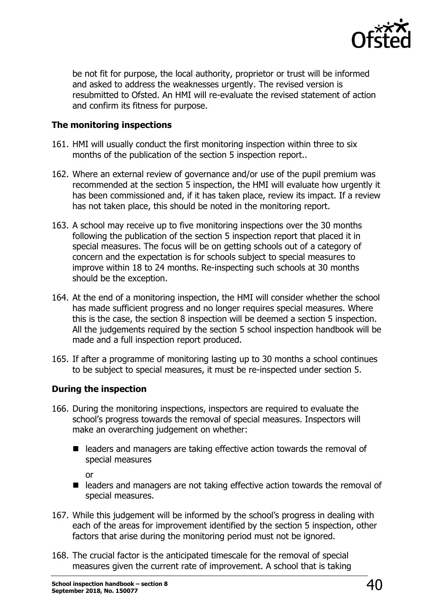

be not fit for purpose, the local authority, proprietor or trust will be informed and asked to address the weaknesses urgently. The revised version is resubmitted to Ofsted. An HMI will re-evaluate the revised statement of action and confirm its fitness for purpose.

#### **The monitoring inspections**

- 161. HMI will usually conduct the first monitoring inspection within three to six months of the publication of the section 5 inspection report..
- 162. Where an external review of governance and/or use of the pupil premium was recommended at the section 5 inspection, the HMI will evaluate how urgently it has been commissioned and, if it has taken place, review its impact. If a review has not taken place, this should be noted in the monitoring report.
- 163. A school may receive up to five monitoring inspections over the 30 months following the publication of the section 5 inspection report that placed it in special measures. The focus will be on getting schools out of a category of concern and the expectation is for schools subject to special measures to improve within 18 to 24 months. Re-inspecting such schools at 30 months should be the exception.
- 164. At the end of a monitoring inspection, the HMI will consider whether the school has made sufficient progress and no longer requires special measures. Where this is the case, the section 8 inspection will be deemed a section 5 inspection. All the judgements required by the section 5 school inspection handbook will be made and a full inspection report produced.
- 165. If after a programme of monitoring lasting up to 30 months a school continues to be subject to special measures, it must be re-inspected under section 5.

#### **During the inspection**

- 166. During the monitoring inspections, inspectors are required to evaluate the school's progress towards the removal of special measures. Inspectors will make an overarching judgement on whether:
	- $\blacksquare$  leaders and managers are taking effective action towards the removal of special measures

or

- leaders and managers are not taking effective action towards the removal of special measures.
- 167. While this judgement will be informed by the school's progress in dealing with each of the areas for improvement identified by the section 5 inspection, other factors that arise during the monitoring period must not be ignored.
- 168. The crucial factor is the anticipated timescale for the removal of special measures given the current rate of improvement. A school that is taking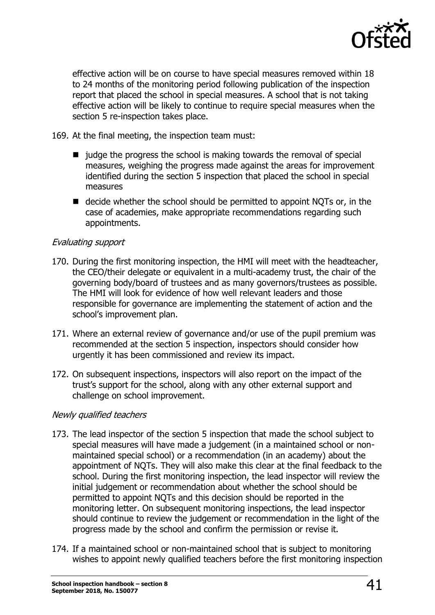

effective action will be on course to have special measures removed within 18 to 24 months of the monitoring period following publication of the inspection report that placed the school in special measures. A school that is not taking effective action will be likely to continue to require special measures when the section 5 re-inspection takes place.

- 169. At the final meeting, the inspection team must:
	- $\blacksquare$  judge the progress the school is making towards the removal of special measures, weighing the progress made against the areas for improvement identified during the section 5 inspection that placed the school in special measures
	- $\blacksquare$  decide whether the school should be permitted to appoint NOTs or, in the case of academies, make appropriate recommendations regarding such appointments.

#### Evaluating support

- 170. During the first monitoring inspection, the HMI will meet with the headteacher, the CEO/their delegate or equivalent in a multi-academy trust, the chair of the governing body/board of trustees and as many governors/trustees as possible. The HMI will look for evidence of how well relevant leaders and those responsible for governance are implementing the statement of action and the school's improvement plan.
- 171. Where an external review of governance and/or use of the pupil premium was recommended at the section 5 inspection, inspectors should consider how urgently it has been commissioned and review its impact.
- 172. On subsequent inspections, inspectors will also report on the impact of the trust's support for the school, along with any other external support and challenge on school improvement.

#### Newly qualified teachers

- 173. The lead inspector of the section 5 inspection that made the school subject to special measures will have made a judgement (in a maintained school or nonmaintained special school) or a recommendation (in an academy) about the appointment of NQTs. They will also make this clear at the final feedback to the school. During the first monitoring inspection, the lead inspector will review the initial judgement or recommendation about whether the school should be permitted to appoint NQTs and this decision should be reported in the monitoring letter. On subsequent monitoring inspections, the lead inspector should continue to review the judgement or recommendation in the light of the progress made by the school and confirm the permission or revise it.
- 174. If a maintained school or non-maintained school that is subject to monitoring wishes to appoint newly qualified teachers before the first monitoring inspection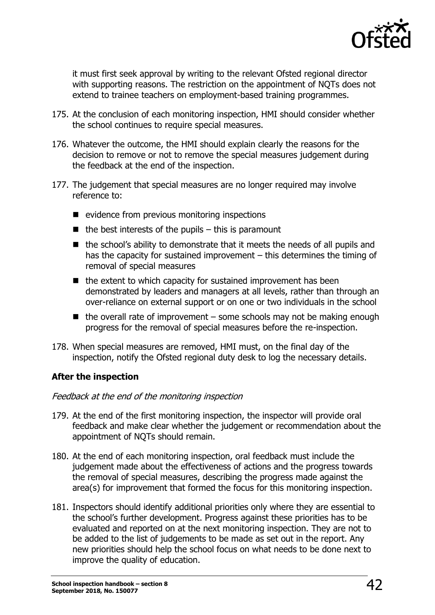

it must first seek approval by writing to the relevant Ofsted regional director with supporting reasons. The restriction on the appointment of NQTs does not extend to trainee teachers on employment-based training programmes.

- 175. At the conclusion of each monitoring inspection, HMI should consider whether the school continues to require special measures.
- 176. Whatever the outcome, the HMI should explain clearly the reasons for the decision to remove or not to remove the special measures judgement during the feedback at the end of the inspection.
- 177. The judgement that special measures are no longer required may involve reference to:
	- $\blacksquare$  evidence from previous monitoring inspections
	- $\blacksquare$  the best interests of the pupils this is paramount
	- the school's ability to demonstrate that it meets the needs of all pupils and has the capacity for sustained improvement – this determines the timing of removal of special measures
	- $\blacksquare$  the extent to which capacity for sustained improvement has been demonstrated by leaders and managers at all levels, rather than through an over-reliance on external support or on one or two individuals in the school
	- $\blacksquare$  the overall rate of improvement some schools may not be making enough progress for the removal of special measures before the re-inspection.
- 178. When special measures are removed, HMI must, on the final day of the inspection, notify the Ofsted regional duty desk to log the necessary details.

#### **After the inspection**

#### Feedback at the end of the monitoring inspection

- 179. At the end of the first monitoring inspection, the inspector will provide oral feedback and make clear whether the judgement or recommendation about the appointment of NQTs should remain.
- 180. At the end of each monitoring inspection, oral feedback must include the judgement made about the effectiveness of actions and the progress towards the removal of special measures, describing the progress made against the area(s) for improvement that formed the focus for this monitoring inspection.
- 181. Inspectors should identify additional priorities only where they are essential to the school's further development. Progress against these priorities has to be evaluated and reported on at the next monitoring inspection. They are not to be added to the list of judgements to be made as set out in the report. Any new priorities should help the school focus on what needs to be done next to improve the quality of education.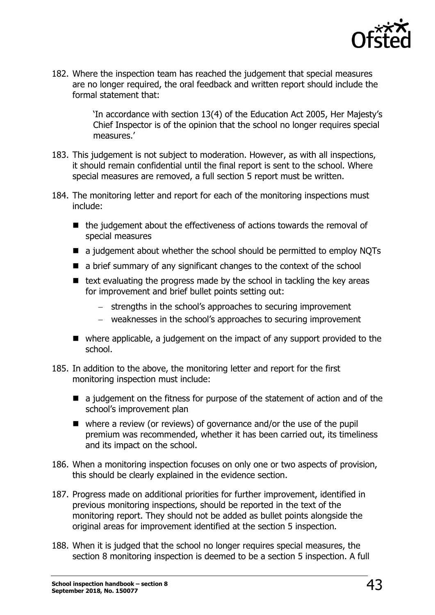

182. Where the inspection team has reached the judgement that special measures are no longer required, the oral feedback and written report should include the formal statement that:

> 'In accordance with section 13(4) of the Education Act 2005, Her Majesty's Chief Inspector is of the opinion that the school no longer requires special measures.'

- 183. This judgement is not subject to moderation. However, as with all inspections, it should remain confidential until the final report is sent to the school. Where special measures are removed, a full section 5 report must be written.
- 184. The monitoring letter and report for each of the monitoring inspections must include:
	- $\blacksquare$  the judgement about the effectiveness of actions towards the removal of special measures
	- a judgement about whether the school should be permitted to employ NQTs
	- a brief summary of any significant changes to the context of the school
	- $\blacksquare$  text evaluating the progress made by the school in tackling the key areas for improvement and brief bullet points setting out:
		- strengths in the school's approaches to securing improvement
		- weaknesses in the school's approaches to securing improvement
	- where applicable, a judgement on the impact of any support provided to the school.
- 185. In addition to the above, the monitoring letter and report for the first monitoring inspection must include:
	- a judgement on the fitness for purpose of the statement of action and of the school's improvement plan
	- where a review (or reviews) of governance and/or the use of the pupil premium was recommended, whether it has been carried out, its timeliness and its impact on the school.
- 186. When a monitoring inspection focuses on only one or two aspects of provision, this should be clearly explained in the evidence section.
- 187. Progress made on additional priorities for further improvement, identified in previous monitoring inspections, should be reported in the text of the monitoring report. They should not be added as bullet points alongside the original areas for improvement identified at the section 5 inspection.
- 188. When it is judged that the school no longer requires special measures, the section 8 monitoring inspection is deemed to be a section 5 inspection. A full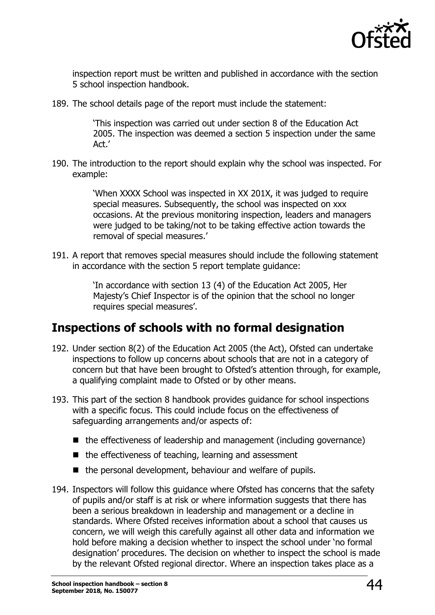

inspection report must be written and published in accordance with the section 5 school inspection handbook.

189. The school details page of the report must include the statement:

'This inspection was carried out under section 8 of the Education Act 2005. The inspection was deemed a section 5 inspection under the same Act.'

190. The introduction to the report should explain why the school was inspected. For example:

> 'When XXXX School was inspected in XX 201X, it was judged to require special measures. Subsequently, the school was inspected on xxx occasions. At the previous monitoring inspection, leaders and managers were judged to be taking/not to be taking effective action towards the removal of special measures.'

191. A report that removes special measures should include the following statement in accordance with the section 5 report template guidance:

> 'In accordance with section 13 (4) of the Education Act 2005, Her Majesty's Chief Inspector is of the opinion that the school no longer requires special measures'.

# <span id="page-43-0"></span>**Inspections of schools with no formal designation**

- 192. Under section 8(2) of the Education Act 2005 (the Act), Ofsted can undertake inspections to follow up concerns about schools that are not in a category of concern but that have been brought to Ofsted's attention through, for example, a qualifying complaint made to Ofsted or by other means.
- 193. This part of the section 8 handbook provides guidance for school inspections with a specific focus. This could include focus on the effectiveness of safeguarding arrangements and/or aspects of:
	- $\blacksquare$  the effectiveness of leadership and management (including governance)
	- $\blacksquare$  the effectiveness of teaching, learning and assessment
	- $\blacksquare$  the personal development, behaviour and welfare of pupils.
- 194. Inspectors will follow this guidance where Ofsted has concerns that the safety of pupils and/or staff is at risk or where information suggests that there has been a serious breakdown in leadership and management or a decline in standards. Where Ofsted receives information about a school that causes us concern, we will weigh this carefully against all other data and information we hold before making a decision whether to inspect the school under 'no formal designation' procedures. The decision on whether to inspect the school is made by the relevant Ofsted regional director. Where an inspection takes place as a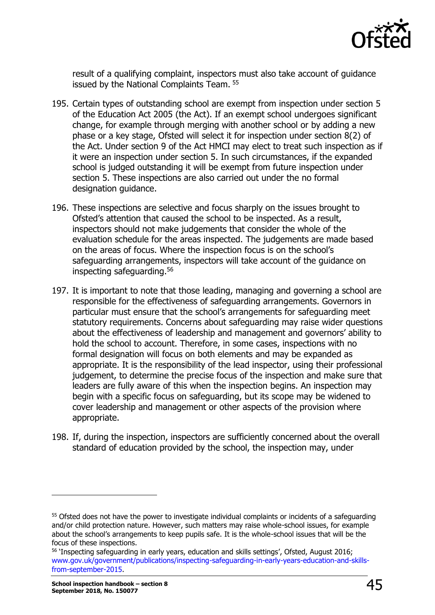

result of a qualifying complaint, inspectors must also take account of guidance issued by the National Complaints Team.<sup>55</sup>

- 195. Certain types of outstanding school are exempt from inspection under section 5 of the Education Act 2005 (the Act). If an exempt school undergoes significant change, for example through merging with another school or by adding a new phase or a key stage, Ofsted will select it for inspection under section 8(2) of the Act. Under section 9 of the Act HMCI may elect to treat such inspection as if it were an inspection under section 5. In such circumstances, if the expanded school is judged outstanding it will be exempt from future inspection under section 5. These inspections are also carried out under the no formal designation guidance.
- 196. These inspections are selective and focus sharply on the issues brought to Ofsted's attention that caused the school to be inspected. As a result, inspectors should not make judgements that consider the whole of the evaluation schedule for the areas inspected. The judgements are made based on the areas of focus. Where the inspection focus is on the school's safeguarding arrangements, inspectors will take account of the guidance on inspecting safeguarding.<sup>56</sup>
- 197. It is important to note that those leading, managing and governing a school are responsible for the effectiveness of safeguarding arrangements. Governors in particular must ensure that the school's arrangements for safeguarding meet statutory requirements. Concerns about safeguarding may raise wider questions about the effectiveness of leadership and management and governors' ability to hold the school to account. Therefore, in some cases, inspections with no formal designation will focus on both elements and may be expanded as appropriate. It is the responsibility of the lead inspector, using their professional judgement, to determine the precise focus of the inspection and make sure that leaders are fully aware of this when the inspection begins. An inspection may begin with a specific focus on safeguarding, but its scope may be widened to cover leadership and management or other aspects of the provision where appropriate.
- 198. If, during the inspection, inspectors are sufficiently concerned about the overall standard of education provided by the school, the inspection may, under

<sup>&</sup>lt;sup>55</sup> Ofsted does not have the power to investigate individual complaints or incidents of a safeguarding and/or child protection nature. However, such matters may raise whole-school issues, for example about the school's arrangements to keep pupils safe. It is the whole-school issues that will be the focus of these inspections.

<sup>56</sup> 'Inspecting safeguarding in early years, education and skills settings', Ofsted, August 2016; [www.gov.uk/government/publications/inspecting-safeguarding-in-early-years-education-and-skills](http://www.gov.uk/government/publications/inspecting-safeguarding-in-early-years-education-and-skills-from-september-2015)[from-september-2015.](http://www.gov.uk/government/publications/inspecting-safeguarding-in-early-years-education-and-skills-from-september-2015)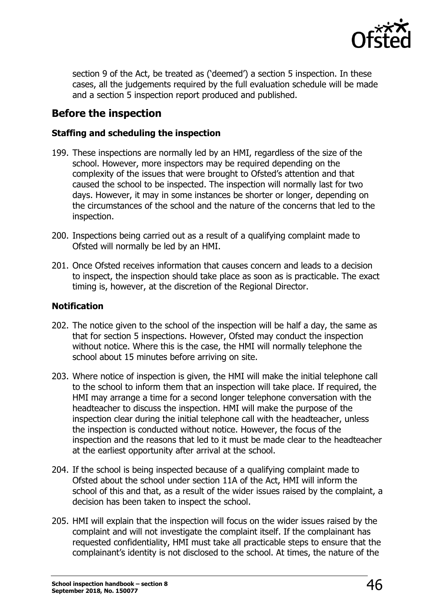

section 9 of the Act, be treated as ('deemed') a section 5 inspection. In these cases, all the judgements required by the full evaluation schedule will be made and a section 5 inspection report produced and published.

### **Before the inspection**

#### **Staffing and scheduling the inspection**

- 199. These inspections are normally led by an HMI, regardless of the size of the school. However, more inspectors may be required depending on the complexity of the issues that were brought to Ofsted's attention and that caused the school to be inspected. The inspection will normally last for two days. However, it may in some instances be shorter or longer, depending on the circumstances of the school and the nature of the concerns that led to the inspection.
- 200. Inspections being carried out as a result of a qualifying complaint made to Ofsted will normally be led by an HMI.
- 201. Once Ofsted receives information that causes concern and leads to a decision to inspect, the inspection should take place as soon as is practicable. The exact timing is, however, at the discretion of the Regional Director.

#### **Notification**

- 202. The notice given to the school of the inspection will be half a day, the same as that for section 5 inspections. However, Ofsted may conduct the inspection without notice. Where this is the case, the HMI will normally telephone the school about 15 minutes before arriving on site.
- 203. Where notice of inspection is given, the HMI will make the initial telephone call to the school to inform them that an inspection will take place. If required, the HMI may arrange a time for a second longer telephone conversation with the headteacher to discuss the inspection. HMI will make the purpose of the inspection clear during the initial telephone call with the headteacher, unless the inspection is conducted without notice. However, the focus of the inspection and the reasons that led to it must be made clear to the headteacher at the earliest opportunity after arrival at the school.
- 204. If the school is being inspected because of a qualifying complaint made to Ofsted about the school under section 11A of the Act, HMI will inform the school of this and that, as a result of the wider issues raised by the complaint, a decision has been taken to inspect the school.
- 205. HMI will explain that the inspection will focus on the wider issues raised by the complaint and will not investigate the complaint itself. If the complainant has requested confidentiality, HMI must take all practicable steps to ensure that the complainant's identity is not disclosed to the school. At times, the nature of the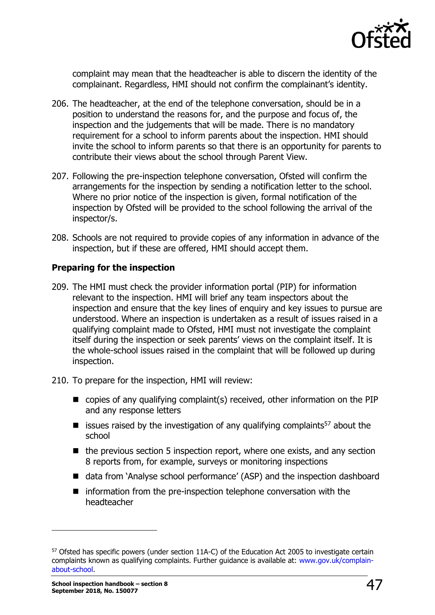

complaint may mean that the headteacher is able to discern the identity of the complainant. Regardless, HMI should not confirm the complainant's identity.

- 206. The headteacher, at the end of the telephone conversation, should be in a position to understand the reasons for, and the purpose and focus of, the inspection and the judgements that will be made. There is no mandatory requirement for a school to inform parents about the inspection. HMI should invite the school to inform parents so that there is an opportunity for parents to contribute their views about the school through Parent View.
- 207. Following the pre-inspection telephone conversation, Ofsted will confirm the arrangements for the inspection by sending a notification letter to the school. Where no prior notice of the inspection is given, formal notification of the inspection by Ofsted will be provided to the school following the arrival of the inspector/s.
- 208. Schools are not required to provide copies of any information in advance of the inspection, but if these are offered, HMI should accept them.

#### **Preparing for the inspection**

- 209. The HMI must check the provider information portal (PIP) for information relevant to the inspection. HMI will brief any team inspectors about the inspection and ensure that the key lines of enquiry and key issues to pursue are understood. Where an inspection is undertaken as a result of issues raised in a qualifying complaint made to Ofsted, HMI must not investigate the complaint itself during the inspection or seek parents' views on the complaint itself. It is the whole-school issues raised in the complaint that will be followed up during inspection.
- 210. To prepare for the inspection, HMI will review:
	- copies of any qualifying complaint(s) received, other information on the PIP and any response letters
	- **E** issues raised by the investigation of any qualifying complaints<sup>57</sup> about the school
	- $\blacksquare$  the previous section 5 inspection report, where one exists, and any section 8 reports from, for example, surveys or monitoring inspections
	- data from 'Analyse school performance' (ASP) and the inspection dashboard
	- $\blacksquare$  information from the pre-inspection telephone conversation with the headteacher

<sup>57</sup> Ofsted has specific powers (under section 11A-C) of the Education Act 2005 to investigate certain complaints known as qualifying complaints. Further guidance is available at: [www.gov.uk/complain](http://www.gov.uk/complain-about-school)[about-school.](http://www.gov.uk/complain-about-school)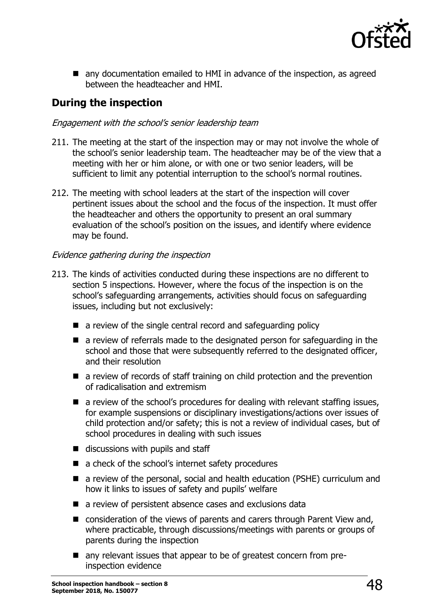

■ any documentation emailed to HMI in advance of the inspection, as agreed between the headteacher and HMI.

# **During the inspection**

#### Engagement with the school's senior leadership team

- 211. The meeting at the start of the inspection may or may not involve the whole of the school's senior leadership team. The headteacher may be of the view that a meeting with her or him alone, or with one or two senior leaders, will be sufficient to limit any potential interruption to the school's normal routines.
- 212. The meeting with school leaders at the start of the inspection will cover pertinent issues about the school and the focus of the inspection. It must offer the headteacher and others the opportunity to present an oral summary evaluation of the school's position on the issues, and identify where evidence may be found.

#### Evidence gathering during the inspection

- 213. The kinds of activities conducted during these inspections are no different to section 5 inspections. However, where the focus of the inspection is on the school's safeguarding arrangements, activities should focus on safeguarding issues, including but not exclusively:
	- $\blacksquare$  a review of the single central record and safeguarding policy
	- **E** a review of referrals made to the designated person for safeguarding in the school and those that were subsequently referred to the designated officer, and their resolution
	- a review of records of staff training on child protection and the prevention of radicalisation and extremism
	- a review of the school's procedures for dealing with relevant staffing issues, for example suspensions or disciplinary investigations/actions over issues of child protection and/or safety; this is not a review of individual cases, but of school procedures in dealing with such issues
	- $\blacksquare$  discussions with pupils and staff
	- a check of the school's internet safety procedures
	- a review of the personal, social and health education (PSHE) curriculum and how it links to issues of safety and pupils' welfare
	- a review of persistent absence cases and exclusions data
	- consideration of the views of parents and carers through Parent View and, where practicable, through discussions/meetings with parents or groups of parents during the inspection
	- any relevant issues that appear to be of greatest concern from preinspection evidence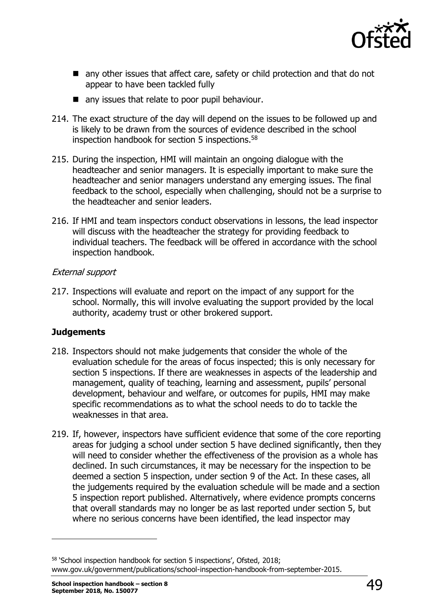

- any other issues that affect care, safety or child protection and that do not appear to have been tackled fully
- any issues that relate to poor pupil behaviour.
- 214. The exact structure of the day will depend on the issues to be followed up and is likely to be drawn from the sources of evidence described in the school inspection handbook for section 5 inspections.<sup>58</sup>
- 215. During the inspection, HMI will maintain an ongoing dialogue with the headteacher and senior managers. It is especially important to make sure the headteacher and senior managers understand any emerging issues. The final feedback to the school, especially when challenging, should not be a surprise to the headteacher and senior leaders.
- 216. If HMI and team inspectors conduct observations in lessons, the lead inspector will discuss with the headteacher the strategy for providing feedback to individual teachers. The feedback will be offered in accordance with the school inspection handbook.

#### External support

217. Inspections will evaluate and report on the impact of any support for the school. Normally, this will involve evaluating the support provided by the local authority, academy trust or other brokered support.

#### **Judgements**

- 218. Inspectors should not make judgements that consider the whole of the evaluation schedule for the areas of focus inspected; this is only necessary for section 5 inspections. If there are weaknesses in aspects of the leadership and management, quality of teaching, learning and assessment, pupils' personal development, behaviour and welfare, or outcomes for pupils, HMI may make specific recommendations as to what the school needs to do to tackle the weaknesses in that area.
- 219. If, however, inspectors have sufficient evidence that some of the core reporting areas for judging a school under section 5 have declined significantly, then they will need to consider whether the effectiveness of the provision as a whole has declined. In such circumstances, it may be necessary for the inspection to be deemed a section 5 inspection, under section 9 of the Act. In these cases, all the judgements required by the evaluation schedule will be made and a section 5 inspection report published. Alternatively, where evidence prompts concerns that overall standards may no longer be as last reported under section 5, but where no serious concerns have been identified, the lead inspector may

<sup>58</sup> 'School inspection handbook for section 5 inspections', Ofsted, 2018; www.gov.uk/government/publications/school-inspection-handbook-from-september-2015.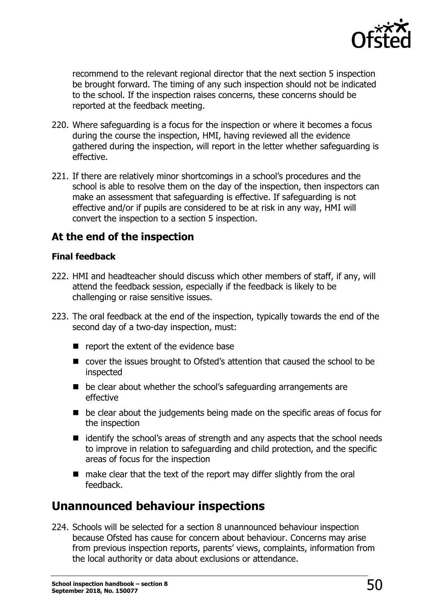

recommend to the relevant regional director that the next section 5 inspection be brought forward. The timing of any such inspection should not be indicated to the school. If the inspection raises concerns, these concerns should be reported at the feedback meeting.

- 220. Where safeguarding is a focus for the inspection or where it becomes a focus during the course the inspection, HMI, having reviewed all the evidence gathered during the inspection, will report in the letter whether safeguarding is effective.
- 221. If there are relatively minor shortcomings in a school's procedures and the school is able to resolve them on the day of the inspection, then inspectors can make an assessment that safeguarding is effective. If safeguarding is not effective and/or if pupils are considered to be at risk in any way, HMI will convert the inspection to a section 5 inspection.

## **At the end of the inspection**

#### **Final feedback**

- 222. HMI and headteacher should discuss which other members of staff, if any, will attend the feedback session, especially if the feedback is likely to be challenging or raise sensitive issues.
- 223. The oral feedback at the end of the inspection, typically towards the end of the second day of a two-day inspection, must:
	- $\blacksquare$  report the extent of the evidence base
	- cover the issues brought to Ofsted's attention that caused the school to be inspected
	- $\blacksquare$  be clear about whether the school's safeguarding arrangements are effective
	- be clear about the judgements being made on the specific areas of focus for the inspection
	- $\blacksquare$  identify the school's areas of strength and any aspects that the school needs to improve in relation to safeguarding and child protection, and the specific areas of focus for the inspection
	- $\blacksquare$  make clear that the text of the report may differ slightly from the oral feedback.

# <span id="page-49-0"></span>**Unannounced behaviour inspections**

224. Schools will be selected for a section 8 unannounced behaviour inspection because Ofsted has cause for concern about behaviour. Concerns may arise from previous inspection reports, parents' views, complaints, information from the local authority or data about exclusions or attendance.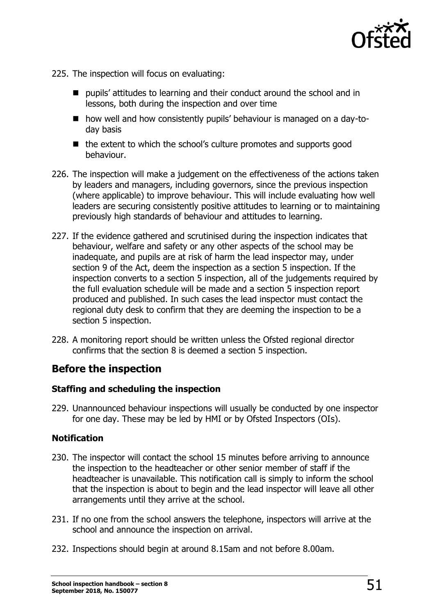

- 225. The inspection will focus on evaluating:
	- pupils' attitudes to learning and their conduct around the school and in lessons, both during the inspection and over time
	- how well and how consistently pupils' behaviour is managed on a day-today basis
	- $\blacksquare$  the extent to which the school's culture promotes and supports good behaviour.
- 226. The inspection will make a judgement on the effectiveness of the actions taken by leaders and managers, including governors, since the previous inspection (where applicable) to improve behaviour. This will include evaluating how well leaders are securing consistently positive attitudes to learning or to maintaining previously high standards of behaviour and attitudes to learning.
- 227. If the evidence gathered and scrutinised during the inspection indicates that behaviour, welfare and safety or any other aspects of the school may be inadequate, and pupils are at risk of harm the lead inspector may, under section 9 of the Act, deem the inspection as a section 5 inspection. If the inspection converts to a section 5 inspection, all of the judgements required by the full evaluation schedule will be made and a section 5 inspection report produced and published. In such cases the lead inspector must contact the regional duty desk to confirm that they are deeming the inspection to be a section 5 inspection.
- 228. A monitoring report should be written unless the Ofsted regional director confirms that the section 8 is deemed a section 5 inspection.

### **Before the inspection**

#### **Staffing and scheduling the inspection**

229. Unannounced behaviour inspections will usually be conducted by one inspector for one day. These may be led by HMI or by Ofsted Inspectors (OIs).

#### **Notification**

- 230. The inspector will contact the school 15 minutes before arriving to announce the inspection to the headteacher or other senior member of staff if the headteacher is unavailable. This notification call is simply to inform the school that the inspection is about to begin and the lead inspector will leave all other arrangements until they arrive at the school.
- 231. If no one from the school answers the telephone, inspectors will arrive at the school and announce the inspection on arrival.
- 232. Inspections should begin at around 8.15am and not before 8.00am.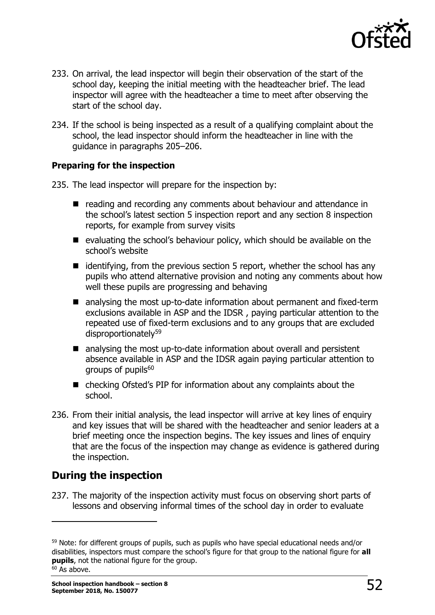

- 233. On arrival, the lead inspector will begin their observation of the start of the school day, keeping the initial meeting with the headteacher brief. The lead inspector will agree with the headteacher a time to meet after observing the start of the school day.
- 234. If the school is being inspected as a result of a qualifying complaint about the school, the lead inspector should inform the headteacher in line with the guidance in paragraphs 205–206.

#### **Preparing for the inspection**

235. The lead inspector will prepare for the inspection by:

- reading and recording any comments about behaviour and attendance in the school's latest section 5 inspection report and any section 8 inspection reports, for example from survey visits
- evaluating the school's behaviour policy, which should be available on the school's website
- $\blacksquare$  identifying, from the previous section 5 report, whether the school has any pupils who attend alternative provision and noting any comments about how well these pupils are progressing and behaving
- analysing the most up-to-date information about permanent and fixed-term exclusions available in ASP and the IDSR , paying particular attention to the repeated use of fixed-term exclusions and to any groups that are excluded disproportionately<sup>59</sup>
- analysing the most up-to-date information about overall and persistent absence available in ASP and the IDSR again paying particular attention to groups of pupils<sup>60</sup>
- checking Ofsted's PIP for information about any complaints about the school.
- 236. From their initial analysis, the lead inspector will arrive at key lines of enquiry and key issues that will be shared with the headteacher and senior leaders at a brief meeting once the inspection begins. The key issues and lines of enquiry that are the focus of the inspection may change as evidence is gathered during the inspection.

# **During the inspection**

ł

237. The majority of the inspection activity must focus on observing short parts of lessons and observing informal times of the school day in order to evaluate

<sup>&</sup>lt;sup>59</sup> Note: for different groups of pupils, such as pupils who have special educational needs and/or disabilities, inspectors must compare the school's figure for that group to the national figure for **all pupils**, not the national figure for the group.  $60$  As above.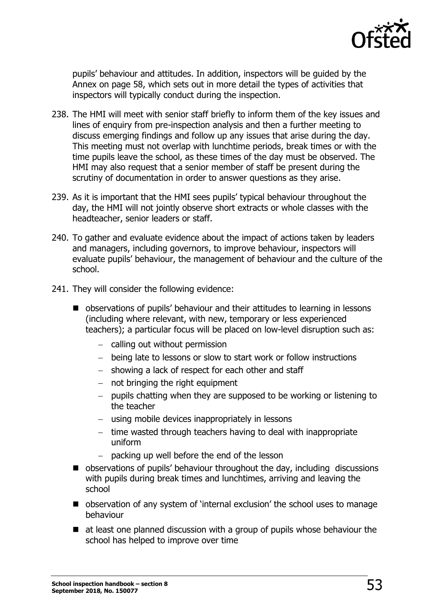

pupils' behaviour and attitudes. In addition, inspectors will be guided by the Annex on page 58, which sets out in more detail the types of activities that inspectors will typically conduct during the inspection.

- 238. The HMI will meet with senior staff briefly to inform them of the key issues and lines of enquiry from pre-inspection analysis and then a further meeting to discuss emerging findings and follow up any issues that arise during the day. This meeting must not overlap with lunchtime periods, break times or with the time pupils leave the school, as these times of the day must be observed. The HMI may also request that a senior member of staff be present during the scrutiny of documentation in order to answer questions as they arise.
- 239. As it is important that the HMI sees pupils' typical behaviour throughout the day, the HMI will not jointly observe short extracts or whole classes with the headteacher, senior leaders or staff.
- 240. To gather and evaluate evidence about the impact of actions taken by leaders and managers, including governors, to improve behaviour, inspectors will evaluate pupils' behaviour, the management of behaviour and the culture of the school.
- 241. They will consider the following evidence:
	- observations of pupils' behaviour and their attitudes to learning in lessons (including where relevant, with new, temporary or less experienced teachers); a particular focus will be placed on low-level disruption such as:
		- $-$  calling out without permission
		- being late to lessons or slow to start work or follow instructions
		- showing a lack of respect for each other and staff
		- $-$  not bringing the right equipment
		- $-$  pupils chatting when they are supposed to be working or listening to the teacher
		- using mobile devices inappropriately in lessons
		- $-$  time wasted through teachers having to deal with inappropriate uniform
		- packing up well before the end of the lesson
	- observations of pupils' behaviour throughout the day, including discussions with pupils during break times and lunchtimes, arriving and leaving the school
	- observation of any system of 'internal exclusion' the school uses to manage behaviour
	- at least one planned discussion with a group of pupils whose behaviour the school has helped to improve over time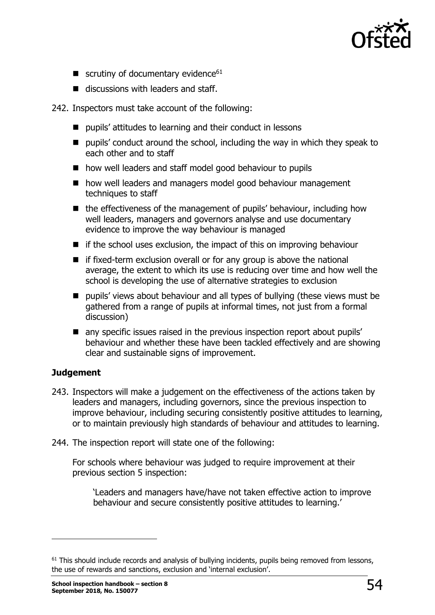

- $\blacksquare$  scrutiny of documentary evidence<sup>61</sup>
- $\blacksquare$  discussions with leaders and staff.

#### 242. Inspectors must take account of the following:

- pupils' attitudes to learning and their conduct in lessons
- **P** pupils' conduct around the school, including the way in which they speak to each other and to staff
- how well leaders and staff model good behaviour to pupils
- how well leaders and managers model good behaviour management techniques to staff
- $\blacksquare$  the effectiveness of the management of pupils' behaviour, including how well leaders, managers and governors analyse and use documentary evidence to improve the way behaviour is managed
- $\blacksquare$  if the school uses exclusion, the impact of this on improving behaviour
- $\blacksquare$  if fixed-term exclusion overall or for any group is above the national average, the extent to which its use is reducing over time and how well the school is developing the use of alternative strategies to exclusion
- **P** pupils' views about behaviour and all types of bullying (these views must be gathered from a range of pupils at informal times, not just from a formal discussion)
- any specific issues raised in the previous inspection report about pupils' behaviour and whether these have been tackled effectively and are showing clear and sustainable signs of improvement.

#### **Judgement**

ł

- 243. Inspectors will make a judgement on the effectiveness of the actions taken by leaders and managers, including governors, since the previous inspection to improve behaviour, including securing consistently positive attitudes to learning, or to maintain previously high standards of behaviour and attitudes to learning.
- 244. The inspection report will state one of the following:

For schools where behaviour was judged to require improvement at their previous section 5 inspection:

'Leaders and managers have/have not taken effective action to improve behaviour and secure consistently positive attitudes to learning.'

 $61$  This should include records and analysis of bullying incidents, pupils being removed from lessons, the use of rewards and sanctions, exclusion and 'internal exclusion'.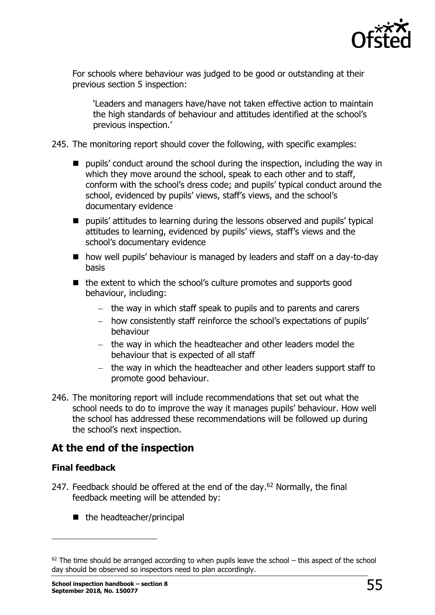

For schools where behaviour was judged to be good or outstanding at their previous section 5 inspection:

'Leaders and managers have/have not taken effective action to maintain the high standards of behaviour and attitudes identified at the school's previous inspection.'

- 245. The monitoring report should cover the following, with specific examples:
	- **P** pupils' conduct around the school during the inspection, including the way in which they move around the school, speak to each other and to staff, conform with the school's dress code; and pupils' typical conduct around the school, evidenced by pupils' views, staff's views, and the school's documentary evidence
	- pupils' attitudes to learning during the lessons observed and pupils' typical attitudes to learning, evidenced by pupils' views, staff's views and the school's documentary evidence
	- how well pupils' behaviour is managed by leaders and staff on a day-to-day basis
	- $\blacksquare$  the extent to which the school's culture promotes and supports good behaviour, including:
		- $-$  the way in which staff speak to pupils and to parents and carers
		- how consistently staff reinforce the school's expectations of pupils' behaviour
		- the way in which the headteacher and other leaders model the behaviour that is expected of all staff
		- the way in which the headteacher and other leaders support staff to promote good behaviour.
- 246. The monitoring report will include recommendations that set out what the school needs to do to improve the way it manages pupils' behaviour. How well the school has addressed these recommendations will be followed up during the school's next inspection.

## **At the end of the inspection**

#### **Final feedback**

- 247. Feedback should be offered at the end of the day. $62$  Normally, the final feedback meeting will be attended by:
	- $\blacksquare$  the headteacher/principal

 $62$  The time should be arranged according to when pupils leave the school – this aspect of the school day should be observed so inspectors need to plan accordingly.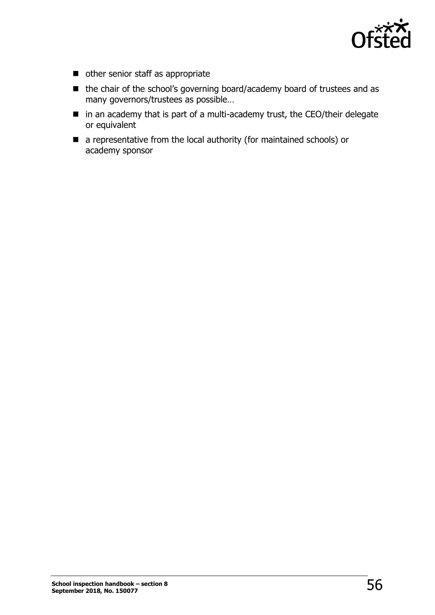

- other senior staff as appropriate
- the chair of the school's governing board/academy board of trustees and as many governors/trustees as possible…
- in an academy that is part of a multi-academy trust, the CEO/their delegate or equivalent
- a representative from the local authority (for maintained schools) or academy sponsor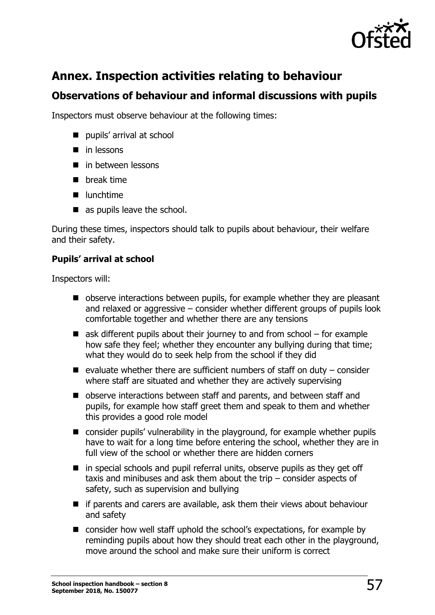<span id="page-56-0"></span>

# **Annex. Inspection activities relating to behaviour**

# **Observations of behaviour and informal discussions with pupils**

Inspectors must observe behaviour at the following times:

- pupils' arrival at school
- $\blacksquare$  in lessons
- $\blacksquare$  in between lessons
- **n** break time
- $\blacksquare$  lunchtime
- as pupils leave the school.

During these times, inspectors should talk to pupils about behaviour, their welfare and their safety.

#### **Pupils' arrival at school**

Inspectors will:

- observe interactions between pupils, for example whether they are pleasant and relaxed or aggressive – consider whether different groups of pupils look comfortable together and whether there are any tensions
- $\blacksquare$  ask different pupils about their journey to and from school for example how safe they feel; whether they encounter any bullying during that time; what they would do to seek help from the school if they did
- $\blacksquare$  evaluate whether there are sufficient numbers of staff on duty consider where staff are situated and whether they are actively supervising
- observe interactions between staff and parents, and between staff and pupils, for example how staff greet them and speak to them and whether this provides a good role model
- consider pupils' vulnerability in the playground, for example whether pupils have to wait for a long time before entering the school, whether they are in full view of the school or whether there are hidden corners
- $\blacksquare$  in special schools and pupil referral units, observe pupils as they get off taxis and minibuses and ask them about the trip – consider aspects of safety, such as supervision and bullying
- $\blacksquare$  if parents and carers are available, ask them their views about behaviour and safety
- consider how well staff uphold the school's expectations, for example by reminding pupils about how they should treat each other in the playground, move around the school and make sure their uniform is correct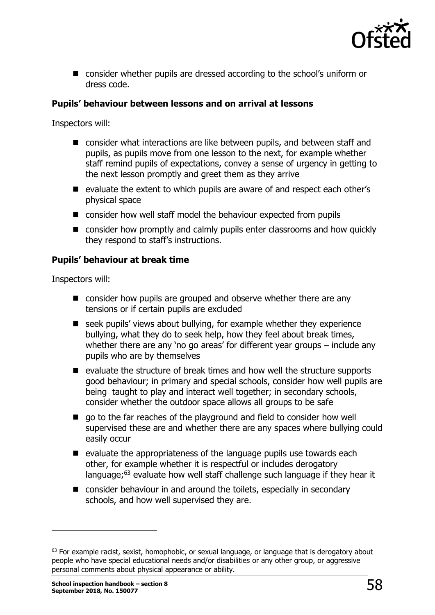

■ consider whether pupils are dressed according to the school's uniform or dress code.

#### **Pupils' behaviour between lessons and on arrival at lessons**

Inspectors will:

- consider what interactions are like between pupils, and between staff and pupils, as pupils move from one lesson to the next, for example whether staff remind pupils of expectations, convey a sense of urgency in getting to the next lesson promptly and greet them as they arrive
- $\blacksquare$  evaluate the extent to which pupils are aware of and respect each other's physical space
- consider how well staff model the behaviour expected from pupils
- consider how promptly and calmly pupils enter classrooms and how quickly they respond to staff's instructions.

#### **Pupils' behaviour at break time**

Inspectors will:

- consider how pupils are grouped and observe whether there are any tensions or if certain pupils are excluded
- seek pupils' views about bullying, for example whether they experience bullying, what they do to seek help, how they feel about break times, whether there are any 'no go areas' for different year groups – include any pupils who are by themselves
- $\blacksquare$  evaluate the structure of break times and how well the structure supports good behaviour; in primary and special schools, consider how well pupils are being taught to play and interact well together; in secondary schools, consider whether the outdoor space allows all groups to be safe
- go to the far reaches of the playground and field to consider how well supervised these are and whether there are any spaces where bullying could easily occur
- $\blacksquare$  evaluate the appropriateness of the language pupils use towards each other, for example whether it is respectful or includes derogatory language;<sup>63</sup> evaluate how well staff challenge such language if they hear it
- consider behaviour in and around the toilets, especially in secondary schools, and how well supervised they are.

<sup>&</sup>lt;sup>63</sup> For example racist, sexist, homophobic, or sexual language, or language that is derogatory about people who have special educational needs and/or disabilities or any other group, or aggressive personal comments about physical appearance or ability.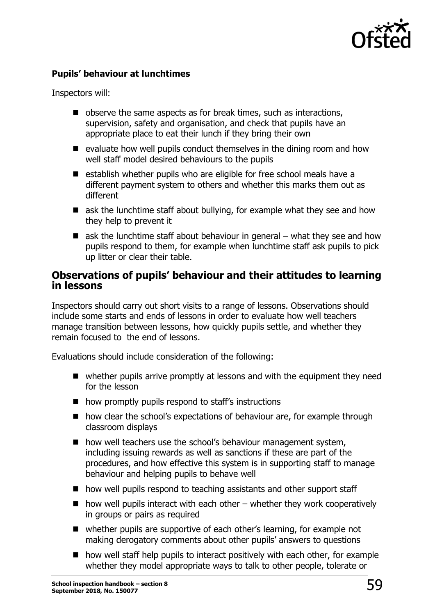

#### **Pupils' behaviour at lunchtimes**

Inspectors will:

- $\blacksquare$  observe the same aspects as for break times, such as interactions, supervision, safety and organisation, and check that pupils have an appropriate place to eat their lunch if they bring their own
- $\blacksquare$  evaluate how well pupils conduct themselves in the dining room and how well staff model desired behaviours to the pupils
- $\blacksquare$  establish whether pupils who are eligible for free school meals have a different payment system to others and whether this marks them out as different
- $\blacksquare$  ask the lunchtime staff about bullying, for example what they see and how they help to prevent it
- $\blacksquare$  ask the lunchtime staff about behaviour in general what they see and how pupils respond to them, for example when lunchtime staff ask pupils to pick up litter or clear their table.

#### **Observations of pupils' behaviour and their attitudes to learning in lessons**

Inspectors should carry out short visits to a range of lessons. Observations should include some starts and ends of lessons in order to evaluate how well teachers manage transition between lessons, how quickly pupils settle, and whether they remain focused to the end of lessons.

Evaluations should include consideration of the following:

- whether pupils arrive promptly at lessons and with the equipment they need for the lesson
- how promptly pupils respond to staff's instructions
- how clear the school's expectations of behaviour are, for example through classroom displays
- how well teachers use the school's behaviour management system, including issuing rewards as well as sanctions if these are part of the procedures, and how effective this system is in supporting staff to manage behaviour and helping pupils to behave well
- how well pupils respond to teaching assistants and other support staff
- $\blacksquare$  how well pupils interact with each other whether they work cooperatively in groups or pairs as required
- whether pupils are supportive of each other's learning, for example not making derogatory comments about other pupils' answers to questions
- $\blacksquare$  how well staff help pupils to interact positively with each other, for example whether they model appropriate ways to talk to other people, tolerate or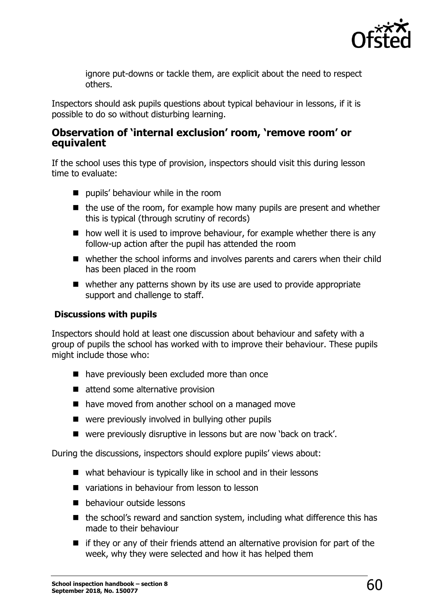

ignore put-downs or tackle them, are explicit about the need to respect others.

Inspectors should ask pupils questions about typical behaviour in lessons, if it is possible to do so without disturbing learning.

#### **Observation of 'internal exclusion' room, 'remove room' or equivalent**

If the school uses this type of provision, inspectors should visit this during lesson time to evaluate:

- **pupils' behaviour while in the room**
- $\blacksquare$  the use of the room, for example how many pupils are present and whether this is typical (through scrutiny of records)
- $\blacksquare$  how well it is used to improve behaviour, for example whether there is any follow-up action after the pupil has attended the room
- whether the school informs and involves parents and carers when their child has been placed in the room
- whether any patterns shown by its use are used to provide appropriate support and challenge to staff.

#### **Discussions with pupils**

Inspectors should hold at least one discussion about behaviour and safety with a group of pupils the school has worked with to improve their behaviour. These pupils might include those who:

- have previously been excluded more than once
- attend some alternative provision
- have moved from another school on a managed move
- were previously involved in bullying other pupils
- were previously disruptive in lessons but are now 'back on track'.

During the discussions, inspectors should explore pupils' views about:

- what behaviour is typically like in school and in their lessons
- variations in behaviour from lesson to lesson
- **b** behaviour outside lessons
- the school's reward and sanction system, including what difference this has made to their behaviour
- $\blacksquare$  if they or any of their friends attend an alternative provision for part of the week, why they were selected and how it has helped them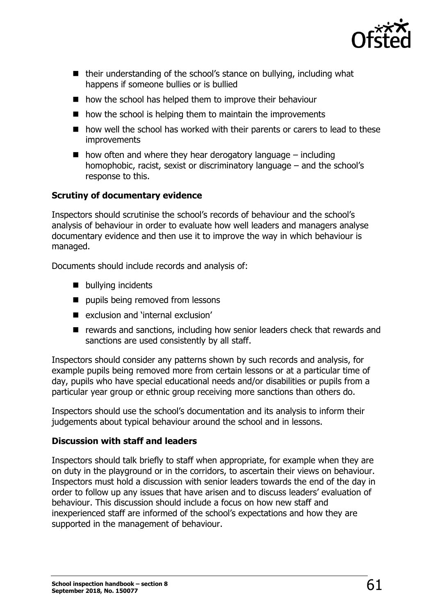

- their understanding of the school's stance on bullying, including what happens if someone bullies or is bullied
- how the school has helped them to improve their behaviour
- $\blacksquare$  how the school is helping them to maintain the improvements
- how well the school has worked with their parents or carers to lead to these improvements
- $\blacksquare$  how often and where they hear derogatory language including homophobic, racist, sexist or discriminatory language – and the school's response to this.

#### **Scrutiny of documentary evidence**

Inspectors should scrutinise the school's records of behaviour and the school's analysis of behaviour in order to evaluate how well leaders and managers analyse documentary evidence and then use it to improve the way in which behaviour is managed.

Documents should include records and analysis of:

- **bullying incidents**
- **pupils being removed from lessons**
- exclusion and 'internal exclusion'
- rewards and sanctions, including how senior leaders check that rewards and sanctions are used consistently by all staff.

Inspectors should consider any patterns shown by such records and analysis, for example pupils being removed more from certain lessons or at a particular time of day, pupils who have special educational needs and/or disabilities or pupils from a particular year group or ethnic group receiving more sanctions than others do.

Inspectors should use the school's documentation and its analysis to inform their judgements about typical behaviour around the school and in lessons.

#### **Discussion with staff and leaders**

Inspectors should talk briefly to staff when appropriate, for example when they are on duty in the playground or in the corridors, to ascertain their views on behaviour. Inspectors must hold a discussion with senior leaders towards the end of the day in order to follow up any issues that have arisen and to discuss leaders' evaluation of behaviour. This discussion should include a focus on how new staff and inexperienced staff are informed of the school's expectations and how they are supported in the management of behaviour.